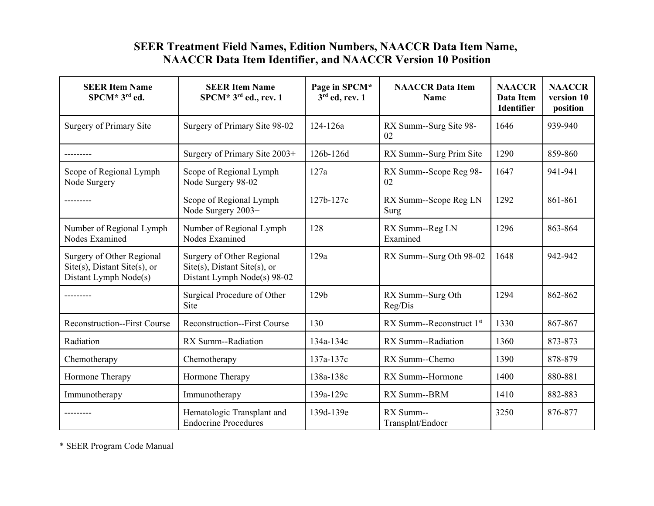# **SEER Treatment Field Names, Edition Numbers, NAACCR Data Item Name, NAACCR Data Item Identifier, and NAACCR Version 10 Position**

| <b>SEER Item Name</b><br>SPCM* 3rd ed.                                                    | <b>SEER Item Name</b><br>$SPCM*3^{rd}$ ed., rev. 1                                              | Page in SPCM*<br>$3rd$ ed, rev. 1 | <b>NAACCR</b> Data Item<br><b>Name</b> | <b>NAACCR</b><br>Data Item<br>Identifier | <b>NAACCR</b><br>version 10<br>position |
|-------------------------------------------------------------------------------------------|-------------------------------------------------------------------------------------------------|-----------------------------------|----------------------------------------|------------------------------------------|-----------------------------------------|
| Surgery of Primary Site                                                                   | Surgery of Primary Site 98-02                                                                   | 124-126a                          | RX Summ--Surg Site 98-<br>02           | 1646                                     | 939-940                                 |
|                                                                                           | Surgery of Primary Site 2003+                                                                   | 126b-126d                         | RX Summ--Surg Prim Site                | 1290                                     | 859-860                                 |
| Scope of Regional Lymph<br>Node Surgery                                                   | Scope of Regional Lymph<br>Node Surgery 98-02                                                   | 127a                              | RX Summ--Scope Reg 98-<br>02           | 1647                                     | 941-941                                 |
|                                                                                           | Scope of Regional Lymph<br>Node Surgery 2003+                                                   | 127b-127c                         | RX Summ--Scope Reg LN<br>Surg          | 1292                                     | 861-861                                 |
| Number of Regional Lymph<br>Nodes Examined                                                | Number of Regional Lymph<br>Nodes Examined                                                      | 128                               | RX Summ--Reg LN<br>Examined            | 1296                                     | 863-864                                 |
| Surgery of Other Regional<br>$Site(s)$ , Distant Site $(s)$ , or<br>Distant Lymph Node(s) | Surgery of Other Regional<br>$Site(s)$ , Distant Site $(s)$ , or<br>Distant Lymph Node(s) 98-02 | 129a                              | RX Summ--Surg Oth 98-02                | 1648                                     | 942-942                                 |
|                                                                                           | Surgical Procedure of Other<br>Site                                                             | 129b                              | RX Summ--Surg Oth<br>Reg/Dis           | 1294                                     | 862-862                                 |
| <b>Reconstruction--First Course</b>                                                       | <b>Reconstruction--First Course</b>                                                             | 130                               | RX Summ--Reconstruct $1st$             | 1330                                     | 867-867                                 |
| Radiation                                                                                 | RX Summ--Radiation                                                                              | 134a-134c                         | RX Summ--Radiation                     | 1360                                     | 873-873                                 |
| Chemotherapy                                                                              | Chemotherapy                                                                                    | 137a-137c                         | RX Summ--Chemo                         | 1390                                     | 878-879                                 |
| Hormone Therapy                                                                           | Hormone Therapy                                                                                 | 138a-138c                         | RX Summ--Hormone                       | 1400                                     | 880-881                                 |
| Immunotherapy                                                                             | Immunotherapy                                                                                   | 139a-129c                         | RX Summ--BRM                           | 1410                                     | 882-883                                 |
|                                                                                           | Hematologic Transplant and<br><b>Endocrine Procedures</b>                                       | 139d-139e                         | RX Summ--<br>Transplnt/Endocr          | 3250                                     | 876-877                                 |

\* SEER Program Code Manual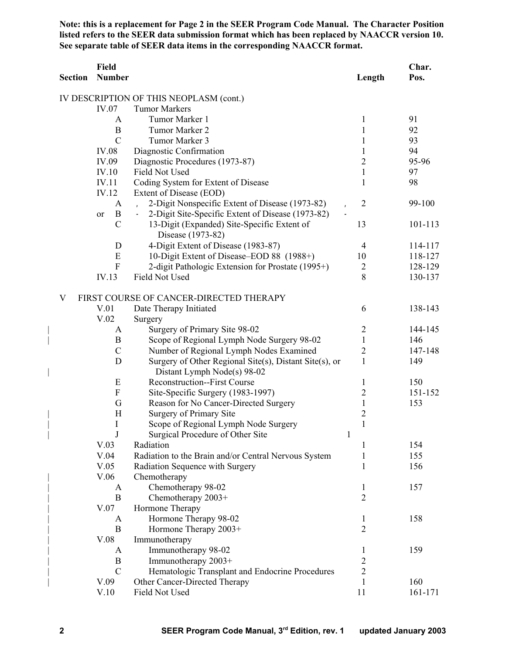**Note: this is a replacement for Page 2 in the SEER Program Code Manual. The Character Position listed refers to the SEER data submission format which has been replaced by NAACCR version 10. See separate table of SEER data items in the corresponding NAACCR format.**

| <b>Section</b> | Field<br><b>Number</b>    |                                                                          | Length                         | Char.<br>Pos. |
|----------------|---------------------------|--------------------------------------------------------------------------|--------------------------------|---------------|
|                |                           | IV DESCRIPTION OF THIS NEOPLASM (cont.)                                  |                                |               |
|                | IV.07                     | <b>Tumor Markers</b>                                                     |                                |               |
|                | A                         | Tumor Marker 1                                                           | 1                              | 91            |
|                | $\boldsymbol{B}$          | Tumor Marker 2                                                           | $\mathbf{1}$                   | 92            |
|                | $\overline{C}$            | Tumor Marker 3                                                           | $\mathbf{1}$                   | 93            |
|                | <b>IV.08</b>              | Diagnostic Confirmation                                                  | 1                              | 94            |
|                | IV.09                     | Diagnostic Procedures (1973-87)                                          | $\overline{c}$                 | 95-96         |
|                | <b>IV.10</b>              | Field Not Used                                                           | $\mathbf{1}$                   | 97            |
|                | IV.11                     | Coding System for Extent of Disease                                      | $\mathbf{1}$                   | 98            |
|                | IV.12                     | Extent of Disease (EOD)                                                  |                                |               |
|                | A                         | 2-Digit Nonspecific Extent of Disease (1973-82)<br>$\mathbf{r}$          | $\overline{2}$                 | 99-100        |
|                | $\bf{B}$<br>or            | 2-Digit Site-Specific Extent of Disease (1973-82)<br>$\blacksquare$      |                                |               |
|                | $\mathcal{C}$             | 13-Digit (Expanded) Site-Specific Extent of<br>Disease (1973-82)         | 13                             | 101-113       |
|                | D                         | 4-Digit Extent of Disease (1983-87)                                      | $\overline{4}$                 | 114-117       |
|                | E                         | 10-Digit Extent of Disease–EOD 88 (1988+)                                | 10                             | 118-127       |
|                | $\mathbf{F}$              | 2-digit Pathologic Extension for Prostate (1995+)                        | $\overline{2}$                 | 128-129       |
|                | IV.13                     | Field Not Used                                                           | 8                              | 130-137       |
| V              |                           | FIRST COURSE OF CANCER-DIRECTED THERAPY                                  |                                |               |
|                | V.01                      | Date Therapy Initiated                                                   | 6                              | 138-143       |
|                | V.02                      | Surgery                                                                  |                                |               |
|                | A                         | Surgery of Primary Site 98-02                                            | $\overline{2}$                 | 144-145       |
|                | B                         | Scope of Regional Lymph Node Surgery 98-02                               | $\mathbf{1}$                   | 146           |
|                | $\mathcal{C}$             | Number of Regional Lymph Nodes Examined                                  | $\overline{2}$                 | 147-148       |
|                | D                         | Surgery of Other Regional Site(s), Distant Site(s), or                   | 1                              | 149           |
|                |                           | Distant Lymph Node(s) 98-02                                              |                                |               |
|                | E                         | <b>Reconstruction--First Course</b>                                      | 1                              | 150           |
|                | $\boldsymbol{\mathrm{F}}$ | Site-Specific Surgery (1983-1997)                                        | $\overline{2}$                 | 151-152       |
|                | G                         | Reason for No Cancer-Directed Surgery                                    | $\mathbf{1}$                   | 153           |
|                | H                         | Surgery of Primary Site                                                  | $\overline{c}$<br>$\mathbf{1}$ |               |
|                | I<br>J                    | Scope of Regional Lymph Node Surgery<br>Surgical Procedure of Other Site | $\mathbf{1}$                   |               |
|                | V.03                      | Radiation                                                                | 1                              | 154           |
|                | V.04                      | Radiation to the Brain and/or Central Nervous System                     | 1                              | 155           |
|                | V.05                      | Radiation Sequence with Surgery                                          | $\mathbf{1}$                   | 156           |
|                | V.06                      | Chemotherapy                                                             |                                |               |
|                | A                         | Chemotherapy 98-02                                                       | 1                              | 157           |
|                | $\bf{B}$                  | Chemotherapy 2003+                                                       | $\overline{2}$                 |               |
|                | V.07                      | Hormone Therapy                                                          |                                |               |
|                | A                         | Hormone Therapy 98-02                                                    | 1                              | 158           |
|                | $\mathbf B$               | Hormone Therapy 2003+                                                    | $\overline{2}$                 |               |
|                | V.08                      | Immunotherapy                                                            |                                |               |
|                | A                         | Immunotherapy 98-02                                                      | 1                              | 159           |
|                | $\boldsymbol{B}$          | Immunotherapy 2003+                                                      | $\overline{c}$                 |               |
|                | $\mathcal{C}$             | Hematologic Transplant and Endocrine Procedures                          | $\overline{2}$                 |               |
|                | V.09                      | Other Cancer-Directed Therapy                                            | $\mathbf{1}$                   | 160           |
|                | V.10                      | Field Not Used                                                           | 11                             | 161-171       |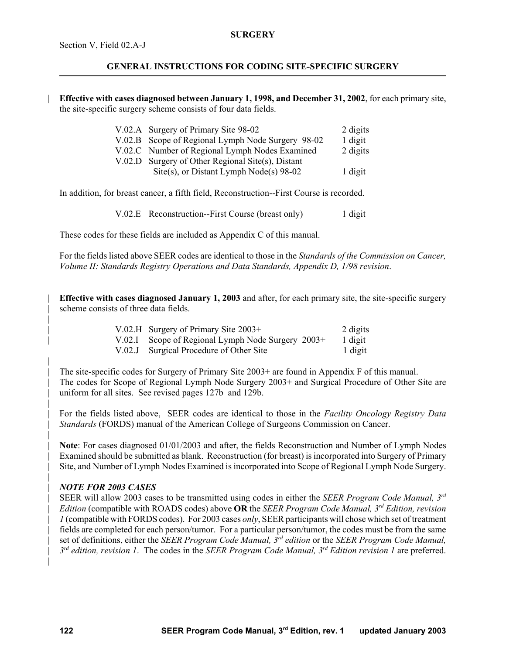#### **SURGERY**

# **GENERAL INSTRUCTIONS FOR CODING SITE-SPECIFIC SURGERY**

| **Effective with cases diagnosed between January 1, 1998, and December 31, 2002**, for each primary site, the site-specific surgery scheme consists of four data fields.

| V.02.A Surgery of Primary Site 98-02              | 2 digits |
|---------------------------------------------------|----------|
| V.02.B Scope of Regional Lymph Node Surgery 98-02 | 1 digit  |
| V.02.C Number of Regional Lymph Nodes Examined    | 2 digits |
| V.02.D Surgery of Other Regional Site(s), Distant |          |
| Site(s), or Distant Lymph Node(s) $98-02$         | 1 digit  |
|                                                   |          |

In addition, for breast cancer, a fifth field, Reconstruction--First Course is recorded.

V.02.E Reconstruction--First Course (breast only) 1 digit

These codes for these fields are included as Appendix C of this manual.

For the fields listed above SEER codes are identical to those in the *Standards of the Commission on Cancer, Volume II: Standards Registry Operations and Data Standards, Appendix D, 1/98 revision*.

| **Effective with cases diagnosed January 1, 2003** and after, for each primary site, the site-specific surgery scheme consists of three data fields.

| V.02.H Surgery of Primary Site $2003+$            | 2 digits |
|---------------------------------------------------|----------|
| V.02.I Scope of Regional Lymph Node Surgery 2003+ | 1 digit  |
| V.02.J Surgical Procedure of Other Site           | 1 digit  |

| The site-specific codes for Surgery of Primary Site 2003+ are found in Appendix F of this manual. | The codes for Scope of Regional Lymph Node Surgery 2003+ and Surgical Procedure of Other Site are uniform for all sites. See revised pages 127b and 129b.

| For the fields listed above, SEER codes are identical to those in the *Facility Oncology Registry Data* | *Standards* (FORDS) manual of the American College of Surgeons Commission on Cancer.

| **Note**: For cases diagnosed 01/01/2003 and after, the fields Reconstruction and Number of Lymph Nodes | Examined should be submitted as blank. Reconstruction (for breast) is incorporated into Surgery of Primary | Site, and Number of Lymph Nodes Examined is incorporated into Scope of Regional Lymph Node Surgery.

### | *NOTE FOR 2003 CASES*

SEER will allow 2003 cases to be transmitted using codes in either the *SEER Program Code Manual*, 3<sup>rd</sup> *Edition* (compatible with ROADS codes) above OR the *SEER Program Code Manual, 3<sup>rd</sup> Edition, revision* | *1* (compatible with FORDS codes). For 2003 cases *only*, SEER participants will chose which set of treatment | fields are completed for each person/tumor. For a particular person/tumor, the codes must be from the same set of definitions, either the *SEER Program Code Manual, 3<sup>rd</sup> edition* or the *SEER Program Code Manual*, *3rd edition, revision 1*. The codes in the *SEER Program Code Manual, 3rd* | *Edition revision 1* are preferred.

|

|

|

|

|

|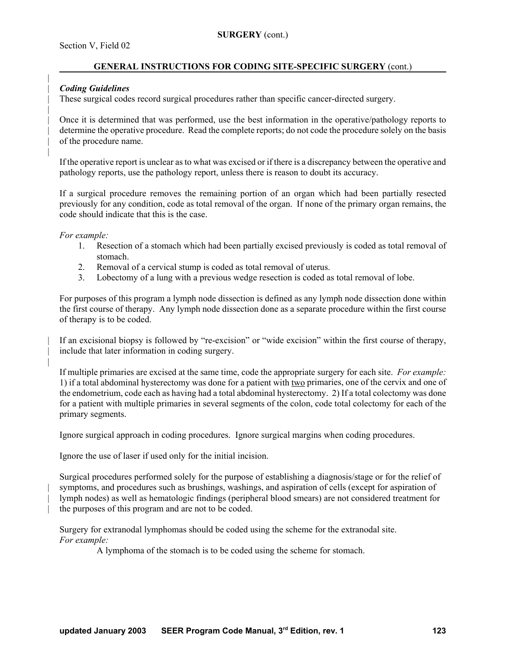## **GENERAL INSTRUCTIONS FOR CODING SITE-SPECIFIC SURGERY** (cont.)

## | *Coding Guidelines*

|

|

|

|

| These surgical codes record surgical procedures rather than specific cancer-directed surgery.

| Once it is determined that was performed, use the best information in the operative/pathology reports to | determine the operative procedure. Read the complete reports; do not code the procedure solely on the basis of the procedure name.

If the operative report is unclear as to what was excised or if there is a discrepancy between the operative and pathology reports, use the pathology report, unless there is reason to doubt its accuracy.

If a surgical procedure removes the remaining portion of an organ which had been partially resected previously for any condition, code as total removal of the organ. If none of the primary organ remains, the code should indicate that this is the case.

*For example:*

- 1. Resection of a stomach which had been partially excised previously is coded as total removal of stomach.
- 2. Removal of a cervical stump is coded as total removal of uterus.
- 3. Lobectomy of a lung with a previous wedge resection is coded as total removal of lobe.

For purposes of this program a lymph node dissection is defined as any lymph node dissection done within the first course of therapy. Any lymph node dissection done as a separate procedure within the first course of therapy is to be coded.

If an excisional biopsy is followed by "re-excision" or "wide excision" within the first course of therapy, include that later information in coding surgery.

If multiple primaries are excised at the same time, code the appropriate surgery for each site. *For example:* 1) if a total abdominal hysterectomy was done for a patient with two primaries, one of the cervix and one of the endometrium, code each as having had a total abdominal hysterectomy. 2) If a total colectomy was done for a patient with multiple primaries in several segments of the colon, code total colectomy for each of the primary segments.

Ignore surgical approach in coding procedures. Ignore surgical margins when coding procedures.

Ignore the use of laser if used only for the initial incision.

Surgical procedures performed solely for the purpose of establishing a diagnosis/stage or for the relief of symptoms, and procedures such as brushings, washings, and aspiration of cells (except for aspiration of | lymph nodes) as well as hematologic findings (peripheral blood smears) are not considered treatment for the purposes of this program and are not to be coded.

Surgery for extranodal lymphomas should be coded using the scheme for the extranodal site. *For example:*

A lymphoma of the stomach is to be coded using the scheme for stomach.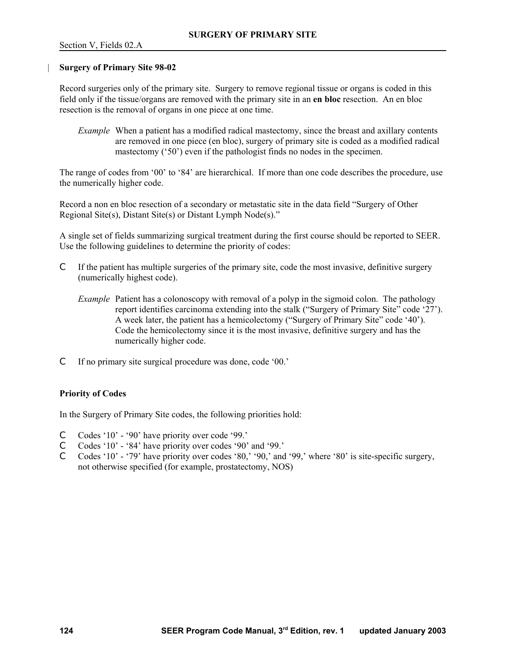#### | **Surgery of Primary Site 98-02**

Record surgeries only of the primary site. Surgery to remove regional tissue or organs is coded in this field only if the tissue/organs are removed with the primary site in an **en bloc** resection. An en bloc resection is the removal of organs in one piece at one time.

*Example* When a patient has a modified radical mastectomy, since the breast and axillary contents are removed in one piece (en bloc), surgery of primary site is coded as a modified radical mastectomy ('50') even if the pathologist finds no nodes in the specimen.

The range of codes from '00' to '84' are hierarchical. If more than one code describes the procedure, use the numerically higher code.

Record a non en bloc resection of a secondary or metastatic site in the data field "Surgery of Other Regional Site(s), Distant Site(s) or Distant Lymph Node(s)."

A single set of fields summarizing surgical treatment during the first course should be reported to SEER. Use the following guidelines to determine the priority of codes:

- C If the patient has multiple surgeries of the primary site, code the most invasive, definitive surgery (numerically highest code).
	- *Example* Patient has a colonoscopy with removal of a polyp in the sigmoid colon. The pathology report identifies carcinoma extending into the stalk ("Surgery of Primary Site" code '27'). A week later, the patient has a hemicolectomy ("Surgery of Primary Site" code '40'). Code the hemicolectomy since it is the most invasive, definitive surgery and has the numerically higher code.
- C If no primary site surgical procedure was done, code '00.'

### **Priority of Codes**

In the Surgery of Primary Site codes, the following priorities hold:

- C Codes '10' '90' have priority over code '99.'
- C Codes '10' '84' have priority over codes '90' and '99.'
- C Codes '10' '79' have priority over codes '80,' '90,' and '99,' where '80' is site-specific surgery, not otherwise specified (for example, prostatectomy, NOS)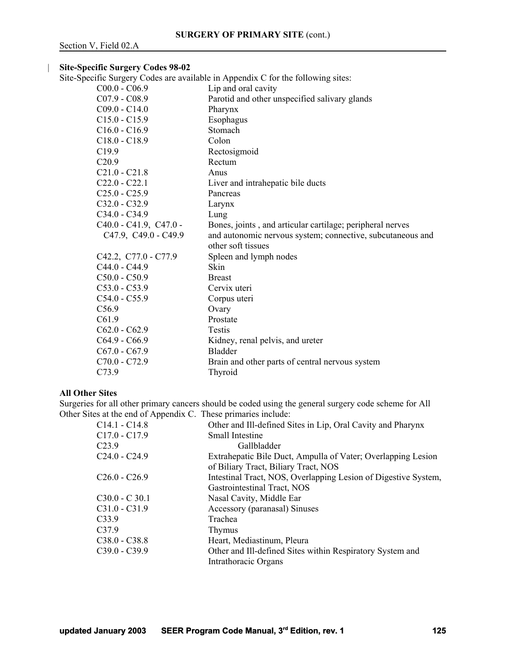## | **Site-Specific Surgery Codes 98-02**

Site-Specific Surgery Codes are available in Appendix C for the following sites:

| $C00.0 - C06.9$          | Lip and oral cavity                                                              |
|--------------------------|----------------------------------------------------------------------------------|
| $C07.9 - C08.9$          | Parotid and other unspecified salivary glands                                    |
| $C09.0 - C14.0$          | Pharynx                                                                          |
| $C15.0 - C15.9$          | Esophagus                                                                        |
| $C16.0 - C16.9$          | Stomach                                                                          |
| $C18.0 - C18.9$          | Colon                                                                            |
| C19.9                    | Rectosigmoid                                                                     |
| C20.9                    | Rectum                                                                           |
| $C21.0 - C21.8$          | Anus                                                                             |
| $C22.0 - C22.1$          | Liver and intrahepatic bile ducts                                                |
| $C25.0 - C25.9$          | Pancreas                                                                         |
| $C32.0 - C32.9$          | Larynx                                                                           |
| $C34.0 - C34.9$          | Lung                                                                             |
| $C40.0 - C41.9, C47.0 -$ | Bones, joints, and articular cartilage; peripheral nerves                        |
| C47.9, C49.0 - C49.9     | and autonomic nervous system; connective, subcutaneous and<br>other soft tissues |
| C42.2, C77.0 - C77.9     | Spleen and lymph nodes                                                           |
| C44.0 - C44.9            | Skin                                                                             |
| $C50.0 - C50.9$          | <b>Breast</b>                                                                    |
| $C53.0 - C53.9$          | Cervix uteri                                                                     |
| $C54.0 - C55.9$          | Corpus uteri                                                                     |
| C <sub>56.9</sub>        | Ovary                                                                            |
| C61.9                    | Prostate                                                                         |
| $C62.0 - C62.9$          | Testis                                                                           |
| $C64.9 - C66.9$          | Kidney, renal pelvis, and ureter                                                 |
| $C67.0 - C67.9$          | <b>Bladder</b>                                                                   |
| C70.0 - C72.9            | Brain and other parts of central nervous system                                  |
| C73.9                    | Thyroid                                                                          |

#### **All Other Sites**

Surgeries for all other primary cancers should be coded using the general surgery code scheme for All Other Sites at the end of Appendix C. These primaries include:

| C <sub>14.1</sub> - C <sub>14.8</sub> | Other and Ill-defined Sites in Lip, Oral Cavity and Pharynx    |
|---------------------------------------|----------------------------------------------------------------|
| $C17.0 - C17.9$                       | Small Intestine                                                |
| C <sub>23.9</sub>                     | Gallbladder                                                    |
| $C24.0 - C24.9$                       | Extrahepatic Bile Duct, Ampulla of Vater; Overlapping Lesion   |
|                                       | of Biliary Tract, Biliary Tract, NOS                           |
| $C26.0 - C26.9$                       | Intestinal Tract, NOS, Overlapping Lesion of Digestive System, |
|                                       | Gastrointestinal Tract, NOS                                    |
| $C30.0 - C30.1$                       | Nasal Cavity, Middle Ear                                       |
| C31.0 - C31.9                         | Accessory (paranasal) Sinuses                                  |
| C33.9                                 | Trachea                                                        |
| C37.9                                 | Thymus                                                         |
| $C38.0 - C38.8$                       | Heart, Mediastinum, Pleura                                     |
| C39.0 - C39.9                         | Other and Ill-defined Sites within Respiratory System and      |
|                                       | Intrathoracic Organs                                           |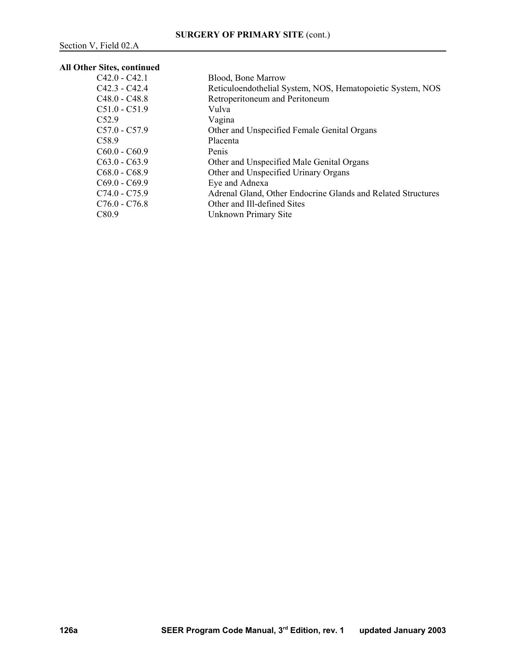# **All Other Sites, continued**

| $C42.0 - C42.1$   | <b>Blood, Bone Marrow</b>                                    |
|-------------------|--------------------------------------------------------------|
| $C42.3 - C42.4$   | Reticuloendothelial System, NOS, Hematopoietic System, NOS   |
| $C48.0 - C48.8$   | Retroperitoneum and Peritoneum                               |
| $C51.0 - C51.9$   | Vulva                                                        |
| C52.9             | Vagina                                                       |
| $C57.0 - C57.9$   | Other and Unspecified Female Genital Organs                  |
| C <sub>58.9</sub> | Placenta                                                     |
| $C60.0 - C60.9$   | Penis                                                        |
| $C63.0 - C63.9$   | Other and Unspecified Male Genital Organs                    |
| $C68.0 - C68.9$   | Other and Unspecified Urinary Organs                         |
| $C69.0 - C69.9$   | Eye and Adnexa                                               |
| $C74.0 - C75.9$   | Adrenal Gland, Other Endocrine Glands and Related Structures |
| $C76.0 - C76.8$   | Other and Ill-defined Sites                                  |
| C <sub>80.9</sub> | Unknown Primary Site                                         |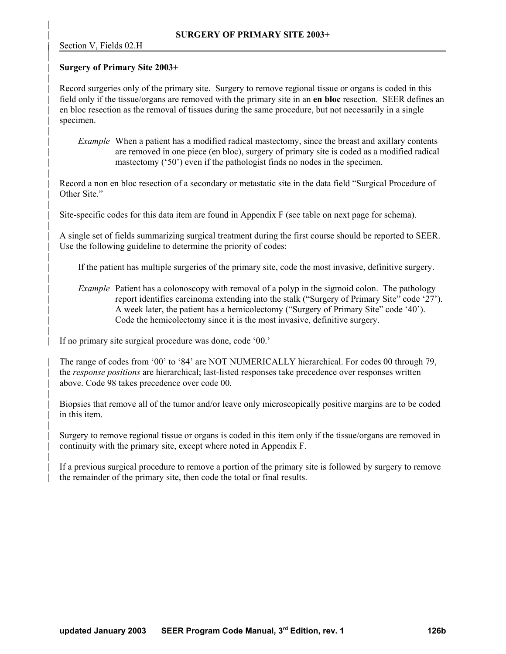|

|

|

|

|

|

|

|

|

|

|

|

|

#### | **Surgery of Primary Site 2003+**

Record surgeries only of the primary site. Surgery to remove regional tissue or organs is coded in this | field only if the tissue/organs are removed with the primary site in an **en bloc** resection. SEER defines an | en bloc resection as the removal of tissues during the same procedure, but not necessarily in a single specimen.

*Example* When a patient has a modified radical mastectomy, since the breast and axillary contents | are removed in one piece (en bloc), surgery of primary site is coded as a modified radical mastectomy  $('50')$  even if the pathologist finds no nodes in the specimen.

Record a non en bloc resection of a secondary or metastatic site in the data field "Surgical Procedure of Other Site."

Site-specific codes for this data item are found in Appendix F (see table on next page for schema).

| A single set of fields summarizing surgical treatment during the first course should be reported to SEER. Use the following guideline to determine the priority of codes:

| If the patient has multiple surgeries of the primary site, code the most invasive, definitive surgery.

*Example* Patient has a colonoscopy with removal of a polyp in the sigmoid colon. The pathology | report identifies carcinoma extending into the stalk ("Surgery of Primary Site" code '27'). | A week later, the patient has a hemicolectomy ("Surgery of Primary Site" code '40'). | Code the hemicolectomy since it is the most invasive, definitive surgery.

If no primary site surgical procedure was done, code '00.'

| The range of codes from '00' to '84' are NOT NUMERICALLY hierarchical. For codes 00 through 79, the *response positions* are hierarchical; last-listed responses take precedence over responses written above. Code 98 takes precedence over code 00.

Biopsies that remove all of the tumor and/or leave only microscopically positive margins are to be coded in this item.

| Surgery to remove regional tissue or organs is coded in this item only if the tissue/organs are removed in | continuity with the primary site, except where noted in Appendix F.

If a previous surgical procedure to remove a portion of the primary site is followed by surgery to remove the remainder of the primary site, then code the total or final results.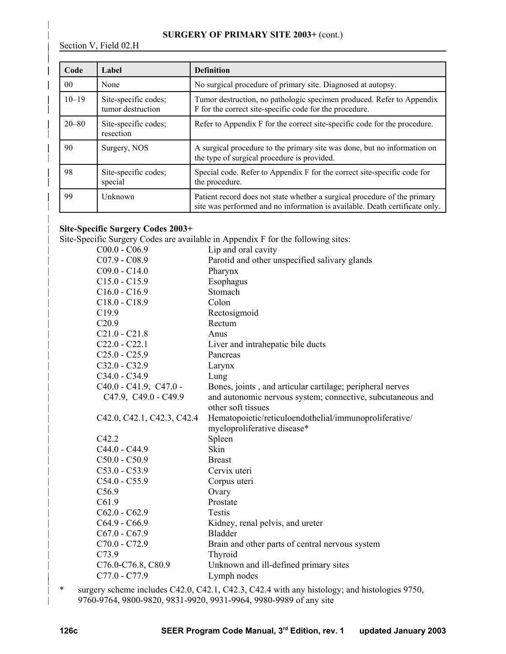### | **SURGERY OF PRIMARY SITE 2003+** (cont.)

Section V, Field 02.H

|

|

| |

|

| Code            | Label                                     | <b>Definition</b>                                                                                                                                        |
|-----------------|-------------------------------------------|----------------------------------------------------------------------------------------------------------------------------------------------------------|
| 00 <sup>2</sup> | None                                      | No surgical procedure of primary site. Diagnosed at autopsy.                                                                                             |
| $10 - 19$       | Site-specific codes;<br>tumor destruction | Tumor destruction, no pathologic specimen produced. Refer to Appendix<br>F for the correct site-specific code for the procedure.                         |
| $20 - 80$       | Site-specific codes;<br>resection         | Refer to Appendix F for the correct site-specific code for the procedure.                                                                                |
| 90              | Surgery, NOS                              | A surgical procedure to the primary site was done, but no information on<br>the type of surgical procedure is provided.                                  |
| 98              | Site-specific codes;<br>special           | Special code. Refer to Appendix F for the correct site-specific code for<br>the procedure.                                                               |
| 99              | Unknown                                   | Patient record does not state whether a surgical procedure of the primary<br>site was performed and no information is available. Death certificate only. |

# | **Site-Specific Surgery Codes 2003+**

Site-Specific Surgery Codes are available in Appendix F for the following sites:

| $C00.0 - C06.9$            | Lip and oral cavity                                        |
|----------------------------|------------------------------------------------------------|
| $C07.9 - C08.9$            | Parotid and other unspecified salivary glands              |
| $C09.0 - C14.0$            | Pharynx                                                    |
| $C15.0 - C15.9$            | Esophagus                                                  |
| $C16.0 - C16.9$            | Stomach                                                    |
| $C18.0 - C18.9$            | Colon                                                      |
| C <sub>19.9</sub>          | Rectosigmoid                                               |
| C20.9                      | Rectum                                                     |
| $C21.0 - C21.8$            | Anus                                                       |
| $C22.0 - C22.1$            | Liver and intrahepatic bile ducts                          |
| $C25.0 - C25.9$            | Pancreas                                                   |
| $C32.0 - C32.9$            | Larynx                                                     |
| $C34.0 - C34.9$            | Lung                                                       |
| $C40.0 - C41.9, C47.0 -$   | Bones, joints, and articular cartilage; peripheral nerves  |
| C47.9, C49.0 - C49.9       | and autonomic nervous system; connective, subcutaneous and |
|                            | other soft tissues                                         |
| C42.0, C42.1, C42.3, C42.4 | Hematopoietic/reticuloendothelial/immunoproliferative/     |
|                            | myeloproliferative disease*                                |
| C42.2                      | Spleen                                                     |
| $C44.0 - C44.9$            | Skin                                                       |
| $C50.0 - C50.9$            | <b>Breast</b>                                              |
| $C53.0 - C53.9$            | Cervix uteri                                               |
| $C54.0 - C55.9$            | Corpus uteri                                               |
| C <sub>56.9</sub>          | Ovary                                                      |
| C61.9                      | Prostate                                                   |
| $C62.0 - C62.9$            | Testis                                                     |
| $C64.9 - C66.9$            | Kidney, renal pelvis, and ureter                           |
| $C67.0 - C67.9$            | <b>Bladder</b>                                             |
| $C70.0 - C72.9$            | Brain and other parts of central nervous system            |
| C73.9                      | Thyroid                                                    |
| C76.0-C76.8, C80.9         | Unknown and ill-defined primary sites                      |
| C77.0 - C77.9              | Lymph nodes                                                |
|                            |                                                            |

| \* surgery scheme includes C42.0, C42.1, C42.3, C42.4 with any histology; and histologies 9750, | 9760-9764, 9800-9820, 9831-9920, 9931-9964, 9980-9989 of any site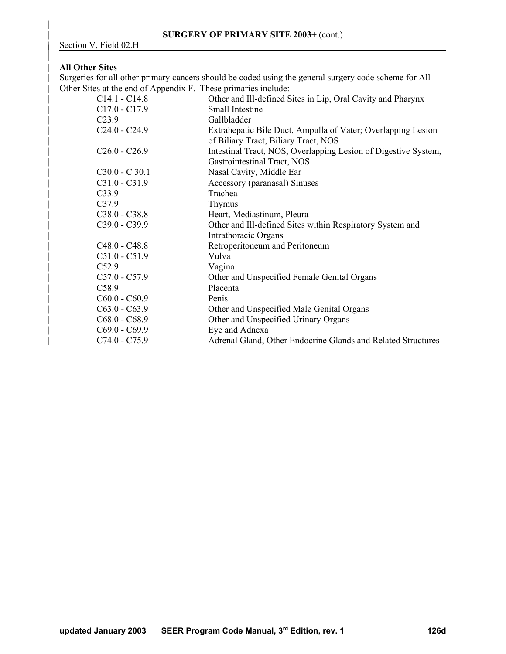## | **All Other Sites**

|

|

|

| Surgeries for all other primary cancers should be coded using the general surgery code scheme for All | Other Sites at the end of Appendix F. These primaries include:

| $\mathbf{1}$      |                                                                |
|-------------------|----------------------------------------------------------------|
| $C14.1 - C14.8$   | Other and Ill-defined Sites in Lip, Oral Cavity and Pharynx    |
| $C17.0 - C17.9$   | Small Intestine                                                |
| C <sub>23.9</sub> | Gallbladder                                                    |
| $C24.0 - C24.9$   | Extrahepatic Bile Duct, Ampulla of Vater; Overlapping Lesion   |
|                   | of Biliary Tract, Biliary Tract, NOS                           |
| $C26.0 - C26.9$   | Intestinal Tract, NOS, Overlapping Lesion of Digestive System, |
|                   | Gastrointestinal Tract, NOS                                    |
| $C30.0 - C30.1$   | Nasal Cavity, Middle Ear                                       |
| $C31.0 - C31.9$   | Accessory (paranasal) Sinuses                                  |
| C33.9             | Trachea                                                        |
| C <sub>37.9</sub> | Thymus                                                         |
| $C38.0 - C38.8$   | Heart, Mediastinum, Pleura                                     |
| $C39.0 - C39.9$   | Other and Ill-defined Sites within Respiratory System and      |
|                   | Intrathoracic Organs                                           |
| $C48.0 - C48.8$   | Retroperitoneum and Peritoneum                                 |
| $C51.0 - C51.9$   | Vulva                                                          |
| C52.9             | Vagina                                                         |
| $C57.0 - C57.9$   | Other and Unspecified Female Genital Organs                    |
| C58.9             | Placenta                                                       |
| $C60.0 - C60.9$   | Penis                                                          |
| $C63.0 - C63.9$   | Other and Unspecified Male Genital Organs                      |
| $C68.0 - C68.9$   | Other and Unspecified Urinary Organs                           |
| $C69.0 - C69.9$   | Eye and Adnexa                                                 |
| $C74.0 - C75.9$   | Adrenal Gland, Other Endocrine Glands and Related Structures   |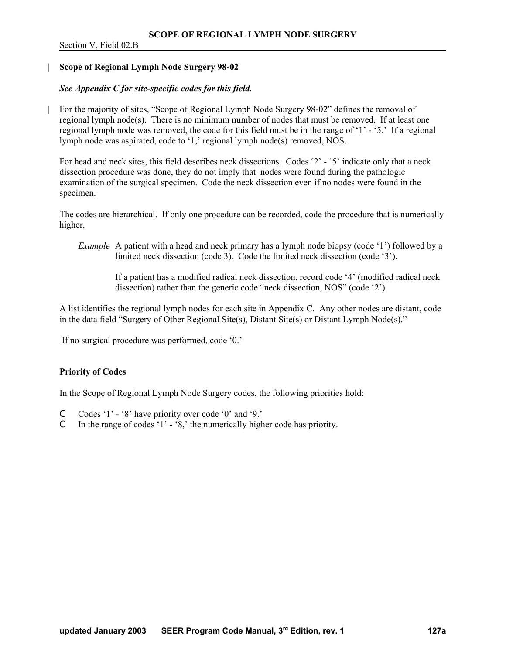#### | **Scope of Regional Lymph Node Surgery 98-02**

### *See Appendix C for site-specific codes for this field.*

| For the majority of sites, "Scope of Regional Lymph Node Surgery 98-02" defines the removal of regional lymph node(s). There is no minimum number of nodes that must be removed. If at least one regional lymph node was removed, the code for this field must be in the range of '1' - '5.' If a regional lymph node was aspirated, code to '1,' regional lymph node(s) removed, NOS.

For head and neck sites, this field describes neck dissections. Codes '2' - '5' indicate only that a neck dissection procedure was done, they do not imply that nodes were found during the pathologic examination of the surgical specimen. Code the neck dissection even if no nodes were found in the specimen.

The codes are hierarchical. If only one procedure can be recorded, code the procedure that is numerically higher.

*Example* A patient with a head and neck primary has a lymph node biopsy (code '1') followed by a limited neck dissection (code 3). Code the limited neck dissection (code '3').

> If a patient has a modified radical neck dissection, record code '4' (modified radical neck dissection) rather than the generic code "neck dissection, NOS" (code '2').

A list identifies the regional lymph nodes for each site in Appendix C. Any other nodes are distant, code in the data field "Surgery of Other Regional Site(s), Distant Site(s) or Distant Lymph Node(s)."

If no surgical procedure was performed, code '0.'

#### **Priority of Codes**

In the Scope of Regional Lymph Node Surgery codes, the following priorities hold:

- C Codes '1' '8' have priority over code '0' and '9.'
- C In the range of codes '1' '8,' the numerically higher code has priority.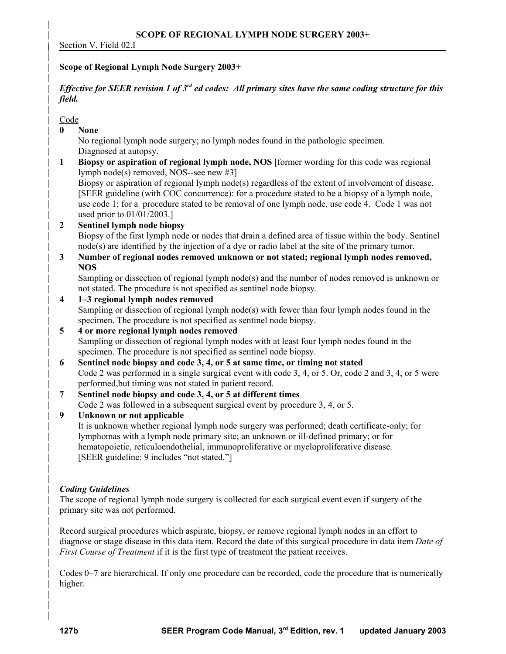Section V, Field 02.I

# | **Scope of Regional Lymph Node Surgery 2003+**

# *Effective for SEER revision 1 of 3<sup>rd</sup> ed codes: All primary sites have the same coding structure for this* | *field.*

# | Code

|

|

|

|

| **0 None** 

| No regional lymph node surgery; no lymph nodes found in the pathologic specimen. Diagnosed at autopsy.

| **1 Biopsy or aspiration of regional lymph node, NOS** [former wording for this code was regional | lymph node(s) removed, NOS--see new #3]

| Biopsy or aspiration of regional lymph node(s) regardless of the extent of involvement of disease. | [SEER guideline (with COC concurrence): for a procedure stated to be a biopsy of a lymph node, | use code 1; for a procedure stated to be removal of one lymph node, use code 4. Code 1 was not used prior to 01/01/2003.]

# | **2 Sentinel lymph node biopsy**

| Biopsy of the first lymph node or nodes that drain a defined area of tissue within the body. Sentinel node(s) are identified by the injection of a dye or radio label at the site of the primary tumor.

| **3 Number of regional nodes removed unknown or not stated; regional lymph nodes removed,** | **NOS**

Sampling or dissection of regional lymph node(s) and the number of nodes removed is unknown or not stated. The procedure is not specified as sentinel node biopsy.

| **4 1–3 regional lymph nodes removed**

| Sampling or dissection of regional lymph node(s) with fewer than four lymph nodes found in the specimen. The procedure is not specified as sentinel node biopsy.

| **5 4 or more regional lymph nodes removed** | Sampling or dissection of regional lymph nodes with at least four lymph nodes found in the specimen. The procedure is not specified as sentinel node biopsy.

- | **6 Sentinel node biopsy and code 3, 4, or 5 at same time, or timing not stated** | Code 2 was performed in a single surgical event with code 3, 4, or 5. Or, code 2 and 3, 4, or 5 were | performed,but timing was not stated in patient record.
- | **7 Sentinel node biopsy and code 3, 4, or 5 at different times**  | Code 2 was followed in a subsequent surgical event by procedure 3, 4, or 5.

# | **9 Unknown or not applicable**

| It is unknown whether regional lymph node surgery was performed; death certificate-only; for | lymphomas with a lymph node primary site; an unknown or ill-defined primary; or for hematopoietic, reticuloendothelial, immunoproliferative or myeloproliferative disease. [SEER guideline: 9 includes "not stated."]

# | *Coding Guidelines*

| |

|

|

| | | The scope of regional lymph node surgery is collected for each surgical event even if surgery of the | primary site was not performed.

Record surgical procedures which aspirate, biopsy, or remove regional lymph nodes in an effort to | diagnose or stage disease in this data item. Record the date of this surgical procedure in data item *Date of First Course of Treatment* if it is the first type of treatment the patient receives.

| Codes 0–7 are hierarchical. If only one procedure can be recorded, code the procedure that is numerically higher.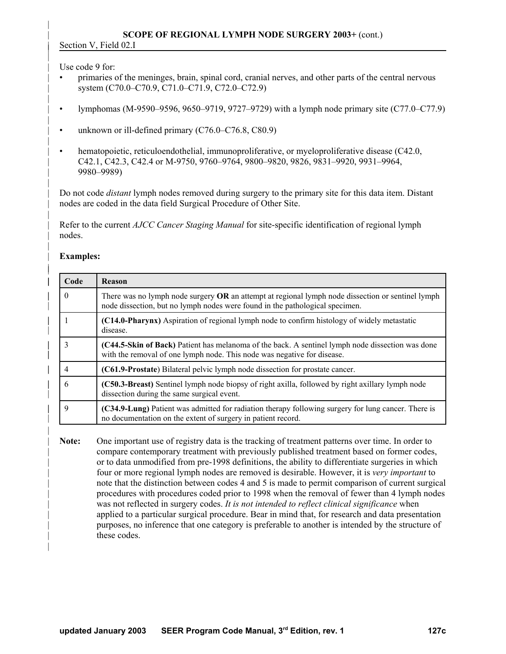Use code 9 for:

|

|

|

|

|

|

|

|

| |

|

|

- | primaries of the meninges, brain, spinal cord, cranial nerves, and other parts of the central nervous | system (C70.0–C70.9, C71.0–C71.9, C72.0–C72.9)
- | lymphomas (M-9590–9596, 9650–9719, 9727–9729) with a lymph node primary site (C77.0–C77.9)
- unknown or ill-defined primary  $(C76.0-C76.8, C80.9)$
- hematopoietic, reticuloendothelial, immunoproliferative, or myeloproliferative disease (C42.0, | C42.1, C42.3, C42.4 or M-9750, 9760–9764, 9800–9820, 9826, 9831–9920, 9931–9964, | 9980–9989)

| Do not code *distant* lymph nodes removed during surgery to the primary site for this data item. Distant nodes are coded in the data field Surgical Procedure of Other Site.

| Refer to the current *AJCC Cancer Staging Manual* for site-specific identification of regional lymph nodes.

# | **Examples:**

| Code        | Reason                                                                                                                                                                            |
|-------------|-----------------------------------------------------------------------------------------------------------------------------------------------------------------------------------|
| 0           | There was no lymph node surgery OR an attempt at regional lymph node dissection or sentinel lymph<br>node dissection, but no lymph nodes were found in the pathological specimen. |
|             | (C14.0-Pharynx) Aspiration of regional lymph node to confirm histology of widely metastatic<br>disease.                                                                           |
| 3           | (C44.5-Skin of Back) Patient has melanoma of the back. A sentinel lymph node dissection was done<br>with the removal of one lymph node. This node was negative for disease.       |
| 4           | (C61.9-Prostate) Bilateral pelvic lymph node dissection for prostate cancer.                                                                                                      |
| 6           | (C50.3-Breast) Sentinel lymph node biopsy of right axilla, followed by right axillary lymph node<br>dissection during the same surgical event.                                    |
| $\mathbf Q$ | (C34.9-Lung) Patient was admitted for radiation therapy following surgery for lung cancer. There is<br>no documentation on the extent of surgery in patient record.               |

| **Note:** One important use of registry data is the tracking of treatment patterns over time. In order to | compare contemporary treatment with previously published treatment based on former codes, | or to data unmodified from pre-1998 definitions, the ability to differentiate surgeries in which | four or more regional lymph nodes are removed is desirable. However, it is *very important* to note that the distinction between codes 4 and 5 is made to permit comparison of current surgical | procedures with procedures coded prior to 1998 when the removal of fewer than 4 lymph nodes | was not reflected in surgery codes. *It is not intended to reflect clinical significance* when | applied to a particular surgical procedure. Bear in mind that, for research and data presentation | purposes, no inference that one category is preferable to another is intended by the structure of these codes.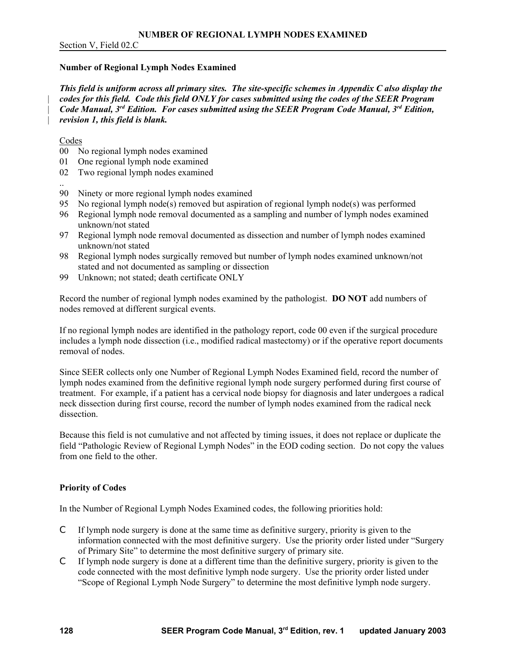Section V, Field 02.C

### **Number of Regional Lymph Nodes Examined**

*This field is uniform across all primary sites. The site-specific schemes in Appendix C also display the*  | *codes for this field. Code this field ONLY for cases submitted using the codes of the SEER Program Code Manual, 3<sup>rd</sup> Edition. For cases submitted using the SEER Program Code Manual, 3<sup>rd</sup> Edition,* | *revision 1, this field is blank.*

#### Codes

- 00 No regional lymph nodes examined
- 01 One regional lymph node examined
- 02 Two regional lymph nodes examined
- .. 90 Ninety or more regional lymph nodes examined
- 95 No regional lymph node(s) removed but aspiration of regional lymph node(s) was performed
- 96 Regional lymph node removal documented as a sampling and number of lymph nodes examined unknown/not stated
- 97 Regional lymph node removal documented as dissection and number of lymph nodes examined unknown/not stated
- 98 Regional lymph nodes surgically removed but number of lymph nodes examined unknown/not stated and not documented as sampling or dissection
- 99 Unknown; not stated; death certificate ONLY

Record the number of regional lymph nodes examined by the pathologist. **DO NOT** add numbers of nodes removed at different surgical events.

If no regional lymph nodes are identified in the pathology report, code 00 even if the surgical procedure includes a lymph node dissection (i.e., modified radical mastectomy) or if the operative report documents removal of nodes.

Since SEER collects only one Number of Regional Lymph Nodes Examined field, record the number of lymph nodes examined from the definitive regional lymph node surgery performed during first course of treatment. For example, if a patient has a cervical node biopsy for diagnosis and later undergoes a radical neck dissection during first course, record the number of lymph nodes examined from the radical neck dissection.

Because this field is not cumulative and not affected by timing issues, it does not replace or duplicate the field "Pathologic Review of Regional Lymph Nodes" in the EOD coding section. Do not copy the values from one field to the other.

### **Priority of Codes**

In the Number of Regional Lymph Nodes Examined codes, the following priorities hold:

- C If lymph node surgery is done at the same time as definitive surgery, priority is given to the information connected with the most definitive surgery. Use the priority order listed under "Surgery of Primary Site" to determine the most definitive surgery of primary site.
- C If lymph node surgery is done at a different time than the definitive surgery, priority is given to the code connected with the most definitive lymph node surgery. Use the priority order listed under "Scope of Regional Lymph Node Surgery" to determine the most definitive lymph node surgery.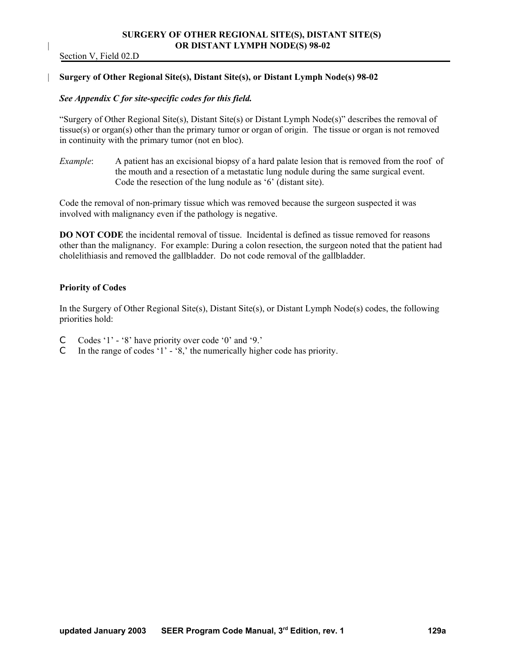### **SURGERY OF OTHER REGIONAL SITE(S), DISTANT SITE(S)**  | **OR DISTANT LYMPH NODE(S) 98-02**

Section V, Field 02.D

#### | **Surgery of Other Regional Site(s), Distant Site(s), or Distant Lymph Node(s) 98-02**

#### *See Appendix C for site-specific codes for this field.*

"Surgery of Other Regional Site(s), Distant Site(s) or Distant Lymph Node(s)" describes the removal of tissue(s) or organ(s) other than the primary tumor or organ of origin. The tissue or organ is not removed in continuity with the primary tumor (not en bloc).

*Example*: A patient has an excisional biopsy of a hard palate lesion that is removed from the roof of the mouth and a resection of a metastatic lung nodule during the same surgical event. Code the resection of the lung nodule as '6' (distant site).

Code the removal of non-primary tissue which was removed because the surgeon suspected it was involved with malignancy even if the pathology is negative.

**DO NOT CODE** the incidental removal of tissue. Incidental is defined as tissue removed for reasons other than the malignancy. For example: During a colon resection, the surgeon noted that the patient had cholelithiasis and removed the gallbladder. Do not code removal of the gallbladder.

#### **Priority of Codes**

In the Surgery of Other Regional Site(s), Distant Site(s), or Distant Lymph Node(s) codes, the following priorities hold:

- C Codes '1' '8' have priority over code '0' and '9.'
- C In the range of codes '1' '8,' the numerically higher code has priority.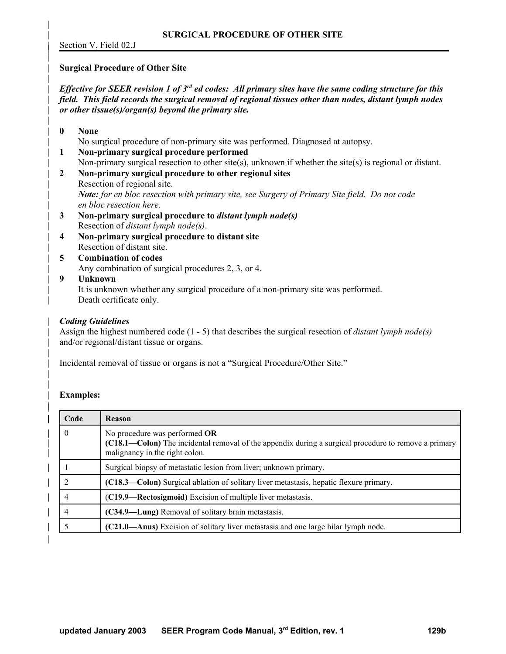Section V, Field 02.J

|

|

|

|

#### | **Surgical Procedure of Other Site**

*Effective for SEER revision 1 of 3<sup>rd</sup> ed codes: All primary sites have the same coding structure for this* | *field. This field records the surgical removal of regional tissues other than nodes, distant lymph nodes* | *or other tissue(s)/organ(s) beyond the primary site.*

- | **0 None**  | No surgical procedure of non-primary site was performed. Diagnosed at autopsy. | **1 Non-primary surgical procedure performed** | Non-primary surgical resection to other site(s), unknown if whether the site(s) is regional or distant.
- | **2 Non-primary surgical procedure to other regional sites** Resection of regional site. | *Note: for en bloc resection with primary site, see Surgery of Primary Site field. Do not code*  $en$  bloc resection here.
- | **3 Non-primary surgical procedure to** *distant lymph node(s)* | Resection of *distant lymph node(s)*.
- | **4 Non-primary surgical procedure to distant site** Resection of distant site.
- | **5 Combination of codes** Any combination of surgical procedures 2, 3, or 4.
- | **9 Unknown**  It is unknown whether any surgical procedure of a non-primary site was performed. Death certificate only.

### | *Coding Guidelines*

| Assign the highest numbered code (1 - 5) that describes the surgical resection of *distant lymph node(s)* and/or regional/distant tissue or organs.

| Incidental removal of tissue or organs is not a "Surgical Procedure/Other Site."

### | **Examples:**

|

| |

| |

|

| Code     | <b>Reason</b>                                                                                                                                                           |
|----------|-------------------------------------------------------------------------------------------------------------------------------------------------------------------------|
| $\theta$ | No procedure was performed OR<br>(C18.1—Colon) The incidental removal of the appendix during a surgical procedure to remove a primary<br>malignancy in the right colon. |
|          | Surgical biopsy of metastatic lesion from liver; unknown primary.                                                                                                       |
| C        | (C18.3—Colon) Surgical ablation of solitary liver metastasis, hepatic flexure primary.                                                                                  |
| 4        | (C19.9—Rectosigmoid) Excision of multiple liver metastasis.                                                                                                             |
| 4        | (C34.9—Lung) Removal of solitary brain metastasis.                                                                                                                      |
|          | (C21.0—Anus) Excision of solitary liver metastasis and one large hilar lymph node.                                                                                      |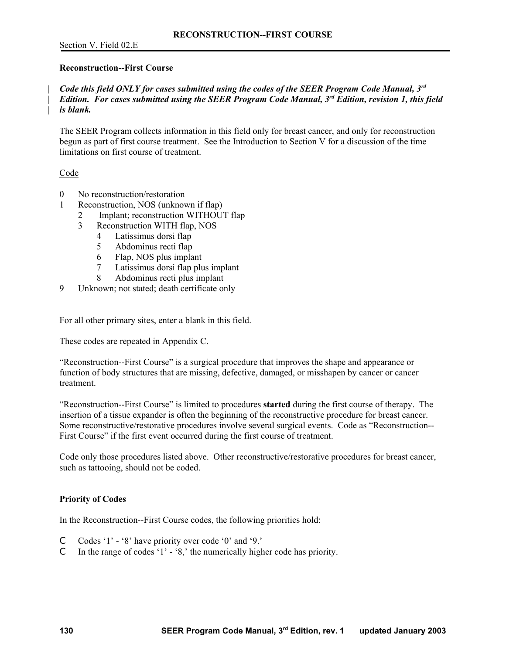#### **Reconstruction--First Course**

### *Code this field ONLY for cases submitted using the codes of the SEER Program Code Manual, 3<sup>rd</sup> Edition. For cases submitted using the SEER Program Code Manual, 3<sup>rd</sup> Edition, revision 1, this field* | *is blank.*

The SEER Program collects information in this field only for breast cancer, and only for reconstruction begun as part of first course treatment. See the Introduction to Section V for a discussion of the time limitations on first course of treatment.

### Code

- 0 No reconstruction/restoration
- 1 Reconstruction, NOS (unknown if flap)
	- 2 Implant; reconstruction WITHOUT flap
	- 3 Reconstruction WITH flap, NOS
		- 4 Latissimus dorsi flap
		- 5 Abdominus recti flap
		- 6 Flap, NOS plus implant
		- 7 Latissimus dorsi flap plus implant
		- 8 Abdominus recti plus implant
- 9 Unknown; not stated; death certificate only

For all other primary sites, enter a blank in this field.

These codes are repeated in Appendix C.

"Reconstruction--First Course" is a surgical procedure that improves the shape and appearance or function of body structures that are missing, defective, damaged, or misshapen by cancer or cancer treatment.

"Reconstruction--First Course" is limited to procedures **started** during the first course of therapy. The insertion of a tissue expander is often the beginning of the reconstructive procedure for breast cancer. Some reconstructive/restorative procedures involve several surgical events. Code as "Reconstruction-- First Course" if the first event occurred during the first course of treatment.

Code only those procedures listed above. Other reconstructive/restorative procedures for breast cancer, such as tattooing, should not be coded.

### **Priority of Codes**

In the Reconstruction--First Course codes, the following priorities hold:

- C Codes '1' '8' have priority over code '0' and '9.'
- C In the range of codes '1' '8,' the numerically higher code has priority.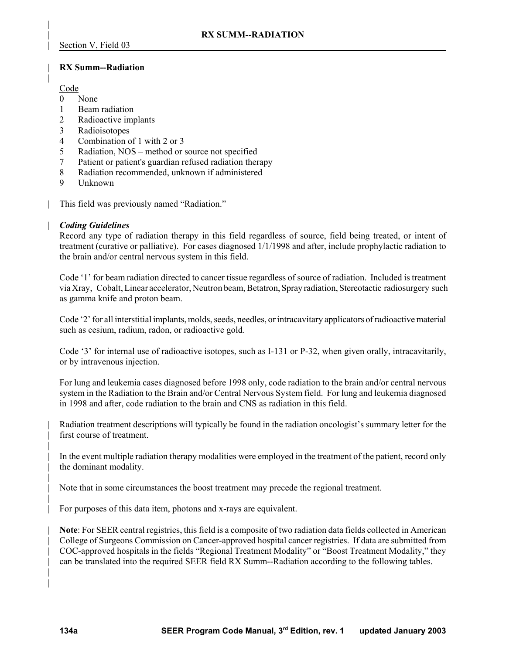### | **RX Summ--Radiation**

### Code

|

|

- 0 None
- 1 Beam radiation
- 2 Radioactive implants
- 3 Radioisotopes
- 4 Combination of 1 with 2 or 3
- 5 Radiation, NOS method or source not specified
- 7 Patient or patient's guardian refused radiation therapy
- 8 Radiation recommended, unknown if administered
- 9 Unknown
- | This field was previously named "Radiation."

### | *Coding Guidelines*

Record any type of radiation therapy in this field regardless of source, field being treated, or intent of treatment (curative or palliative). For cases diagnosed 1/1/1998 and after, include prophylactic radiation to the brain and/or central nervous system in this field.

Code '1' for beam radiation directed to cancer tissue regardless of source of radiation. Included is treatment via Xray, Cobalt, Linear accelerator, Neutron beam, Betatron, Spray radiation, Stereotactic radiosurgery such as gamma knife and proton beam.

Code '2' for all interstitial implants, molds, seeds, needles, or intracavitary applicators of radioactive material such as cesium, radium, radon, or radioactive gold.

Code '3' for internal use of radioactive isotopes, such as I-131 or P-32, when given orally, intracavitarily, or by intravenous injection.

For lung and leukemia cases diagnosed before 1998 only, code radiation to the brain and/or central nervous system in the Radiation to the Brain and/or Central Nervous System field. For lung and leukemia diagnosed in 1998 and after, code radiation to the brain and CNS as radiation in this field.

| Radiation treatment descriptions will typically be found in the radiation oncologist's summary letter for the first course of treatment.

In the event multiple radiation therapy modalities were employed in the treatment of the patient, record only the dominant modality.

| Note that in some circumstances the boost treatment may precede the regional treatment.

| For purposes of this data item, photons and x-rays are equivalent.

| **Note**: For SEER central registries, this field is a composite of two radiation data fields collected in American | College of Surgeons Commission on Cancer-approved hospital cancer registries. If data are submitted from | COC-approved hospitals in the fields "Regional Treatment Modality" or "Boost Treatment Modality," they | can be translated into the required SEER field RX Summ--Radiation according to the following tables.

|

|

|

| |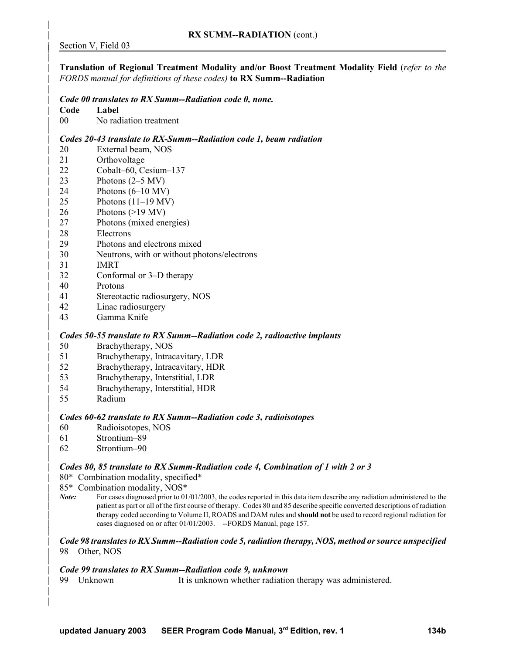|

|

|

|

|

|

|

|

|

| | | **Translation of Regional Treatment Modality and/or Boost Treatment Modality Field** (*refer to the* | *FORDS manual for definitions of these codes)* **to RX Summ--Radiation**

#### | *Code 00 translates to RX Summ--Radiation code 0, none.*

- | **Code Label**
- 00 No radiation treatment

#### | *Codes 20-43 translate to RX-Summ--Radiation code 1, beam radiation*

- | 20 External beam, NOS
- | 21 Orthovoltage
- | 22 Cobalt–60, Cesium–137
- $23$  Photons  $(2-5 MV)$
- | 24 Photons (6–10 MV)
- | 25 Photons (11–19 MV)
- | 26 Photons (>19 MV)
- | 27 Photons (mixed energies)
- | 28 Electrons
- | 29 Photons and electrons mixed
- | 30 Neutrons, with or without photons/electrons
- | 31 IMRT
- | 32 Conformal or 3–D therapy
- | 40 Protons
- | 41 Stereotactic radiosurgery, NOS
- | 42 Linac radiosurgery
- | 43 Gamma Knife

#### | *Codes 50-55 translate to RX Summ--Radiation code 2, radioactive implants*

- | 50 Brachytherapy, NOS
- | 51 Brachytherapy, Intracavitary, LDR
- | 52 Brachytherapy, Intracavitary, HDR
- | 53 Brachytherapy, Interstitial, LDR
- | 54 Brachytherapy, Interstitial, HDR
- | 55 Radium

#### | *Codes 60-62 translate to RX Summ--Radiation code 3, radioisotopes*

- | 60 Radioisotopes, NOS
- | 61 Strontium–89
- | 62 Strontium–90

### | *Codes 80, 85 translate to RX Summ-Radiation code 4, Combination of 1 with 2 or 3*

- | 80\* Combination modality, specified\*
- | 85\* Combination modality, NOS\*
- *Note:* For cases diagnosed prior to 01/01/2003, the codes reported in this data item describe any radiation administered to the | patient as part or all of the first course of therapy. Codes 80 and 85 describe specific converted descriptions of radiation | therapy coded according to Volume II, ROADS and DAM rules and **should not** be used to record regional radiation for cases diagnosed on or after 01/01/2003. --FORDS Manual, page 157.

#### | *Code 98 translates to RX Summ--Radiation code 5, radiation therapy, NOS, method or source unspecified* | 98 Other, NOS

#### | *Code 99 translates to RX Summ--Radiation code 9, unknown*

| 99 Unknown It is unknown whether radiation therapy was administered.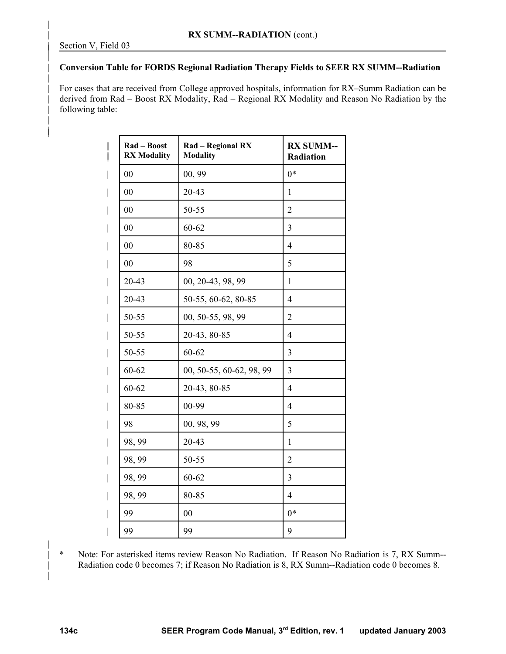|

|

|

| | |

## | **Conversion Table for FORDS Regional Radiation Therapy Fields to SEER RX SUMM--Radiation**

| For cases that are received from College approved hospitals, information for RX–Summ Radiation can be | derived from Rad – Boost RX Modality, Rad – Regional RX Modality and Reason No Radiation by the following table:

| I                        | Rad - Boost<br><b>RX Modality</b> | Rad - Regional RX<br><b>Modality</b> | <b>RX SUMM--</b><br>Radiation |
|--------------------------|-----------------------------------|--------------------------------------|-------------------------------|
| $\mid$                   | $00\,$                            | 00, 99                               | $0*$                          |
| $\overline{\phantom{a}}$ | 0 <sub>0</sub>                    | 20-43                                | $\mathbf{1}$                  |
| $\overline{\phantom{a}}$ | $00\,$                            | 50-55                                | $\overline{2}$                |
| $\overline{\phantom{a}}$ | 00                                | $60 - 62$                            | 3                             |
| $\overline{\phantom{a}}$ | 00                                | 80-85                                | $\overline{4}$                |
| I                        | 00                                | 98                                   | 5                             |
| $\overline{\phantom{a}}$ | $20 - 43$                         | 00, 20-43, 98, 99                    | 1                             |
| $\overline{\phantom{a}}$ | 20-43                             | 50-55, 60-62, 80-85                  | $\overline{4}$                |
| I                        | 50-55                             | 00, 50-55, 98, 99                    | $\overline{2}$                |
| $\overline{\phantom{a}}$ | 50-55                             | 20-43, 80-85                         | $\overline{4}$                |
| $\overline{\phantom{a}}$ | 50-55                             | $60 - 62$                            | 3                             |
| I                        | $60 - 62$                         | 00, 50-55, 60-62, 98, 99             | 3                             |
| $\overline{\phantom{a}}$ | $60 - 62$                         | 20-43, 80-85                         | $\overline{4}$                |
| $\overline{\phantom{a}}$ | 80-85                             | 00-99                                | $\overline{4}$                |
| $\mid$                   | 98                                | 00, 98, 99                           | 5                             |
| $\overline{\phantom{a}}$ | 98, 99                            | 20-43                                | $\mathbf{1}$                  |
| $\overline{\phantom{a}}$ | 98, 99                            | 50-55                                | $\overline{2}$                |
| $\overline{\phantom{a}}$ | 98, 99                            | 60-62                                | 3                             |
| $\mathsf{l}$             | 98, 99                            | 80-85                                | $\overline{4}$                |
| $\overline{\phantom{a}}$ | 99                                | 00                                   | $0*$                          |
| $\overline{\phantom{a}}$ | 99                                | 99                                   | 9                             |

| \* Note: For asterisked items review Reason No Radiation. If Reason No Radiation is 7, RX Summ-- Radiation code 0 becomes 7; if Reason No Radiation is 8, RX Summ--Radiation code 0 becomes 8.

|

|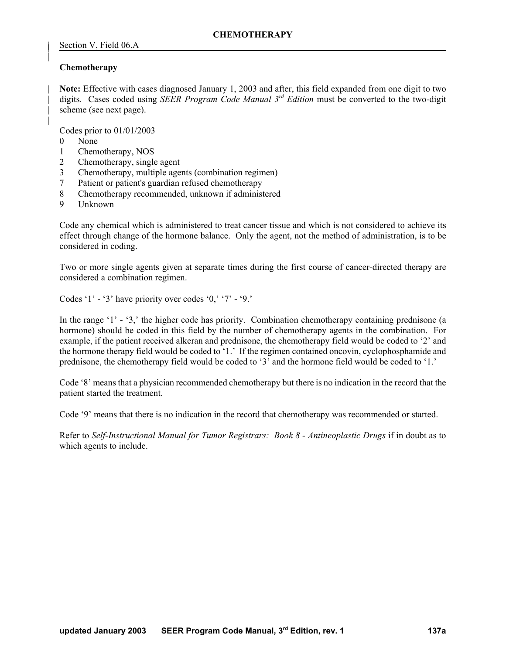### **Chemotherapy**

|

|

|

| **Note:** Effective with cases diagnosed January 1, 2003 and after, this field expanded from one digit to two digits. Cases coded using *SEER Program Code Manual 3<sup>rd</sup> Edition* must be converted to the two-digit scheme (see next page).

Codes prior to 01/01/2003

- 0 None
- 1 Chemotherapy, NOS
- 2 Chemotherapy, single agent
- 3 Chemotherapy, multiple agents (combination regimen)
- 7 Patient or patient's guardian refused chemotherapy
- 8 Chemotherapy recommended, unknown if administered
- 9 Unknown

Code any chemical which is administered to treat cancer tissue and which is not considered to achieve its effect through change of the hormone balance. Only the agent, not the method of administration, is to be considered in coding.

Two or more single agents given at separate times during the first course of cancer-directed therapy are considered a combination regimen.

Codes '1' - '3' have priority over codes '0,' '7' - '9.'

In the range '1' - '3,' the higher code has priority. Combination chemotherapy containing prednisone (a hormone) should be coded in this field by the number of chemotherapy agents in the combination. For example, if the patient received alkeran and prednisone, the chemotherapy field would be coded to '2' and the hormone therapy field would be coded to '1.' If the regimen contained oncovin, cyclophosphamide and prednisone, the chemotherapy field would be coded to '3' and the hormone field would be coded to '1.'

Code '8' means that a physician recommended chemotherapy but there is no indication in the record that the patient started the treatment.

Code '9' means that there is no indication in the record that chemotherapy was recommended or started.

Refer to *Self-Instructional Manual for Tumor Registrars: Book 8 - Antineoplastic Drugs* if in doubt as to which agents to include.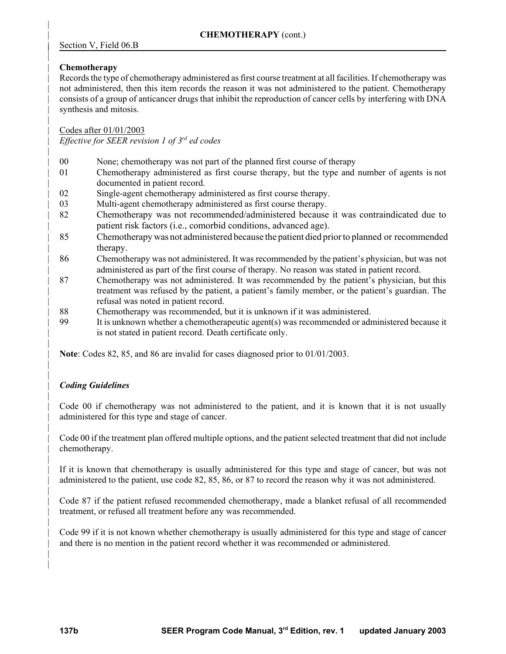# Section V, Field 06.B

# | **Chemotherapy**

|

|

|

|

|

|

| |

|

|

|

|

|

| | Records the type of chemotherapy administered as first course treatment at all facilities. If chemotherapy was not administered, then this item records the reason it was not administered to the patient. Chemotherapy | consists of a group of anticancer drugs that inhibit the reproduction of cancer cells by interfering with DNA synthesis and mitosis.

| Codes after 01/01/2003

*Effective for SEER revision 1 of 3rd* | *ed codes*

- | 00 None; chemotherapy was not part of the planned first course of therapy
- | 01 Chemotherapy administered as first course therapy, but the type and number of agents is not documented in patient record.
- 02 Single-agent chemotherapy administered as first course therapy.
- 03 Multi-agent chemotherapy administered as first course therapy.
- 82 Chemotherapy was not recommended/administered because it was contraindicated due to patient risk factors (i.e., comorbid conditions, advanced age).
- | 85 Chemotherapy was not administered because the patient died prior to planned or recommended therapy.
- | 86 Chemotherapy was not administered. It was recommended by the patient's physician, but was not | administered as part of the first course of therapy. No reason was stated in patient record.
- | 87 Chemotherapy was not administered. It was recommended by the patient's physician, but this | treatment was refused by the patient, a patient's family member, or the patient's guardian. The | refusal was noted in patient record.
- | 88 Chemotherapy was recommended, but it is unknown if it was administered.
- | 99 It is unknown whether a chemotherapeutic agent(s) was recommended or administered because it is not stated in patient record. Death certificate only.

| **Note**: Codes 82, 85, and 86 are invalid for cases diagnosed prior to 01/01/2003.

# | *Coding Guidelines*

Code 00 if chemotherapy was not administered to the patient, and it is known that it is not usually administered for this type and stage of cancer.

| Code 00 if the treatment plan offered multiple options, and the patient selected treatment that did not include chemotherapy.

If it is known that chemotherapy is usually administered for this type and stage of cancer, but was not | administered to the patient, use code 82, 85, 86, or 87 to record the reason why it was not administered.

| Code 87 if the patient refused recommended chemotherapy, made a blanket refusal of all recommended treatment, or refused all treatment before any was recommended.

| Code 99 if it is not known whether chemotherapy is usually administered for this type and stage of cancer and there is no mention in the patient record whether it was recommended or administered.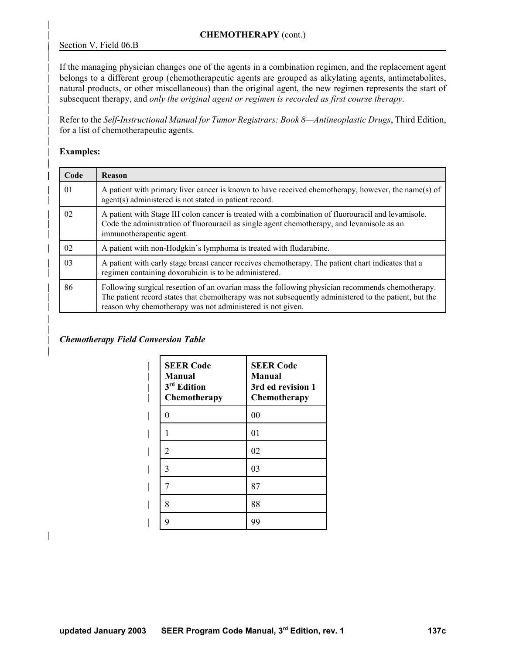### | **CHEMOTHERAPY** (cont.)

### Section V, Field 06.B

|

|

|

|

|

| |

| |

| |

 $\overline{1}$ |

If the managing physician changes one of the agents in a combination regimen, and the replacement agent belongs to a different group (chemotherapeutic agents are grouped as alkylating agents, antimetabolites, natural products, or other miscellaneous) than the original agent, the new regimen represents the start of | subsequent therapy, and *only the original agent or regimen is recorded as first course therapy*.

| Refer to the *Self-Instructional Manual for Tumor Registrars: Book 8—Antineoplastic Drugs*, Third Edition, for a list of chemotherapeutic agents.

#### | **Examples:**

| Code                                                                                                                                                                                                                                | <b>Reason</b>                                                                                                                                                                                                                                                           |
|-------------------------------------------------------------------------------------------------------------------------------------------------------------------------------------------------------------------------------------|-------------------------------------------------------------------------------------------------------------------------------------------------------------------------------------------------------------------------------------------------------------------------|
| 01                                                                                                                                                                                                                                  | A patient with primary liver cancer is known to have received chemotherapy, however, the name(s) of<br>agent(s) administered is not stated in patient record.                                                                                                           |
| 02<br>A patient with Stage III colon cancer is treated with a combination of fluorouracil and levamisole.<br>Code the administration of fluorouracil as single agent chemotherapy, and levamisole as an<br>immunotherapeutic agent. |                                                                                                                                                                                                                                                                         |
| 02                                                                                                                                                                                                                                  | A patient with non-Hodgkin's lymphoma is treated with fludarabine.                                                                                                                                                                                                      |
| 03                                                                                                                                                                                                                                  | A patient with early stage breast cancer receives chemotherapy. The patient chart indicates that a<br>regimen containing doxorubicin is to be administered.                                                                                                             |
| 86                                                                                                                                                                                                                                  | Following surgical resection of an ovarian mass the following physician recommends chemotherapy.<br>The patient record states that chemotherapy was not subsequently administered to the patient, but the<br>reason why chemotherapy was not administered is not given. |

### | *Chemotherapy Field Conversion Table*

| <b>SEER Code</b><br><b>Manual</b><br>3 <sup>rd</sup> Edition<br>Chemotherapy | <b>SEER Code</b><br><b>Manual</b><br>3rd ed revision 1<br>Chemotherapy |
|------------------------------------------------------------------------------|------------------------------------------------------------------------|
| 0                                                                            | 00                                                                     |
|                                                                              | 01                                                                     |
| 2                                                                            | 02                                                                     |
| 3                                                                            | 03                                                                     |
|                                                                              | 87                                                                     |
| 8                                                                            | 88                                                                     |
| Q                                                                            | 99                                                                     |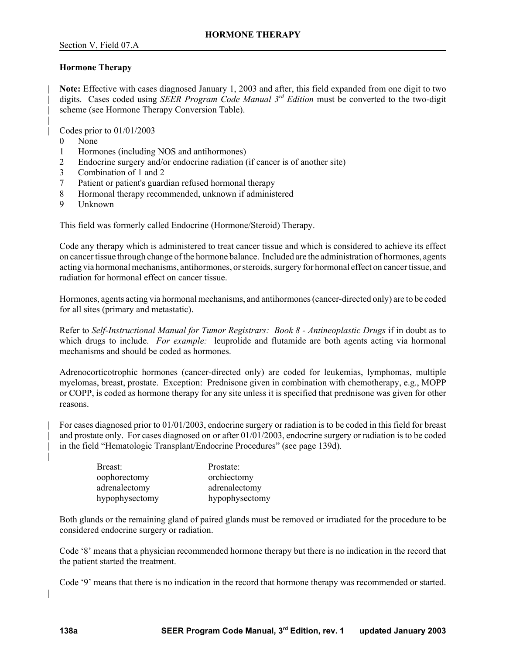### **Hormone Therapy**

| **Note:** Effective with cases diagnosed January 1, 2003 and after, this field expanded from one digit to two digits. Cases coded using *SEER Program Code Manual 3<sup>rd</sup> Edition* must be converted to the two-digit scheme (see Hormone Therapy Conversion Table).

| Codes prior to 01/01/2003

0 None

|

- 1 Hormones (including NOS and antihormones)
- 2 Endocrine surgery and/or endocrine radiation (if cancer is of another site)
- 3 Combination of 1 and 2
- 7 Patient or patient's guardian refused hormonal therapy
- 8 Hormonal therapy recommended, unknown if administered
- 9 Unknown

This field was formerly called Endocrine (Hormone/Steroid) Therapy.

Code any therapy which is administered to treat cancer tissue and which is considered to achieve its effect on cancer tissue through change of the hormone balance. Included are the administration of hormones, agents acting via hormonal mechanisms, antihormones, or steroids, surgery for hormonal effect on cancer tissue, and radiation for hormonal effect on cancer tissue.

Hormones, agents acting via hormonal mechanisms, and antihormones (cancer-directed only) are to be coded for all sites (primary and metastatic).

Refer to *Self-Instructional Manual for Tumor Registrars: Book 8 - Antineoplastic Drugs* if in doubt as to which drugs to include. *For example:* leuprolide and flutamide are both agents acting via hormonal mechanisms and should be coded as hormones.

Adrenocorticotrophic hormones (cancer-directed only) are coded for leukemias, lymphomas, multiple myelomas, breast, prostate. Exception: Prednisone given in combination with chemotherapy, e.g., MOPP or COPP, is coded as hormone therapy for any site unless it is specified that prednisone was given for other reasons.

| For cases diagnosed prior to 01/01/2003, endocrine surgery or radiation is to be coded in this field for breast and prostate only. For cases diagnosed on or after 01/01/2003, endocrine surgery or radiation is to be coded in the field "Hematologic Transplant/Endocrine Procedures" (see page 139d).

| Breast:        | Prostate:      |
|----------------|----------------|
| oophorectomy   | orchiectomy    |
| adrenalectomy  | adrenalectomy  |
| hypophysectomy | hypophysectomy |

Both glands or the remaining gland of paired glands must be removed or irradiated for the procedure to be considered endocrine surgery or radiation.

Code '8' means that a physician recommended hormone therapy but there is no indication in the record that the patient started the treatment.

Code '9' means that there is no indication in the record that hormone therapy was recommended or started.

|

|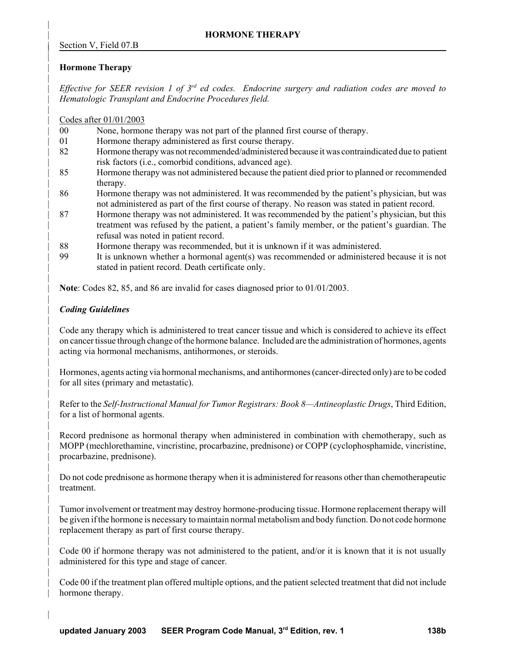|

|

|

|

|

|

|

|

|

|

|

|

|

|

|

|

# | **Hormone Therapy**

*Effective for SEER revision 1 of 3<sup>rd</sup> ed codes. Endocrine surgery and radiation codes are moved to* | *Hematologic Transplant and Endocrine Procedures field.* 

| Codes after 01/01/2003

- | 00 None, hormone therapy was not part of the planned first course of therapy.
- 01 Hormone therapy administered as first course therapy.
- 82 Hormone therapy was not recommended/administered because it was contraindicated due to patient risk factors (i.e., comorbid conditions, advanced age).
- | 85 Hormone therapy was not administered because the patient died prior to planned or recommended therapy.
- | 86 Hormone therapy was not administered. It was recommended by the patient's physician, but was not administered as part of the first course of therapy. No reason was stated in patient record.
- 87 Hormone therapy was not administered. It was recommended by the patient's physician, but this | treatment was refused by the patient, a patient's family member, or the patient's guardian. The | refusal was noted in patient record.
- | 88 Hormone therapy was recommended, but it is unknown if it was administered.
- | 99 It is unknown whether a hormonal agent(s) was recommended or administered because it is not stated in patient record. Death certificate only.

| **Note**: Codes 82, 85, and 86 are invalid for cases diagnosed prior to 01/01/2003.

# | *Coding Guidelines*

| Code any therapy which is administered to treat cancer tissue and which is considered to achieve its effect | on cancer tissue through change of the hormone balance. Included are the administration of hormones, agents acting via hormonal mechanisms, antihormones, or steroids.

| Hormones, agents acting via hormonal mechanisms, and antihormones (cancer-directed only) are to be coded for all sites (primary and metastatic).

| Refer to the *Self-Instructional Manual for Tumor Registrars: Book 8—Antineoplastic Drugs*, Third Edition, for a list of hormonal agents.

Record prednisone as hormonal therapy when administered in combination with chemotherapy, such as | MOPP (mechlorethamine, vincristine, procarbazine, prednisone) or COPP (cyclophosphamide, vincristine, | procarbazine, prednisone).

| Do not code prednisone as hormone therapy when it is administered for reasons other than chemotherapeutic treatment.

| Tumor involvement or treatment may destroy hormone-producing tissue. Hormone replacement therapy will be given if the hormone is necessary to maintain normal metabolism and body function. Do not code hormone replacement therapy as part of first course therapy.

Code 00 if hormone therapy was not administered to the patient, and/or it is known that it is not usually administered for this type and stage of cancer.

| Code 00 if the treatment plan offered multiple options, and the patient selected treatment that did not include hormone therapy.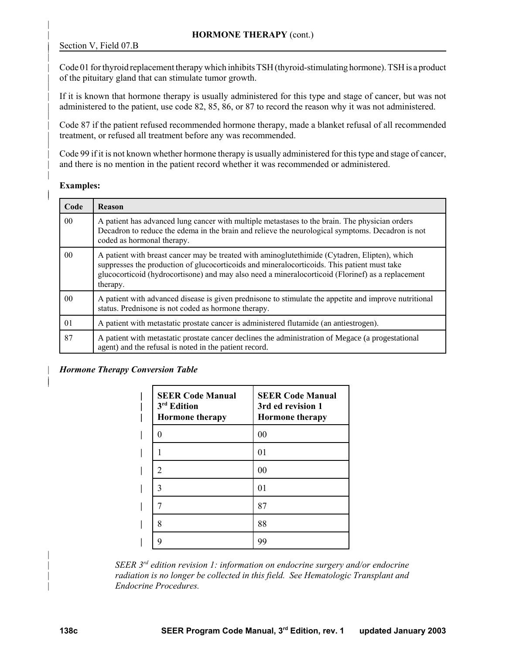|

|

|

|

|

| |

|

| Code 01 for thyroid replacement therapy which inhibits TSH (thyroid-stimulating hormone). TSH is a product of the pituitary gland that can stimulate tumor growth.

If it is known that hormone therapy is usually administered for this type and stage of cancer, but was not administered to the patient, use code 82, 85, 86, or 87 to record the reason why it was not administered.

| Code 87 if the patient refused recommended hormone therapy, made a blanket refusal of all recommended treatment, or refused all treatment before any was recommended.

Code 99 if it is not known whether hormone therapy is usually administered for this type and stage of cancer, and there is no mention in the patient record whether it was recommended or administered.

### Examples:

| Code           | Reason                                                                                                                                                                                                                                                                                                         |  |
|----------------|----------------------------------------------------------------------------------------------------------------------------------------------------------------------------------------------------------------------------------------------------------------------------------------------------------------|--|
| 0 <sub>0</sub> | A patient has advanced lung cancer with multiple metastases to the brain. The physician orders<br>Decadron to reduce the edema in the brain and relieve the neurological symptoms. Decadron is not<br>coded as hormonal therapy.                                                                               |  |
| 0 <sub>0</sub> | A patient with breast cancer may be treated with aminoglute thimide (Cytadren, Elipten), which<br>suppresses the production of glucocorticoids and mineralocorticoids. This patient must take<br>glucocorticoid (hydrocortisone) and may also need a mineralocorticoid (Florinef) as a replacement<br>therapy. |  |
| 0 <sub>0</sub> | A patient with advanced disease is given prednisone to stimulate the appetite and improve nutritional<br>status. Prednisone is not coded as hormone therapy.                                                                                                                                                   |  |
| 01             | A patient with metastatic prostate cancer is administered flutamide (an antiestrogen).                                                                                                                                                                                                                         |  |
| 87             | A patient with metastatic prostate cancer declines the administration of Megace (a progestational<br>agent) and the refusal is noted in the patient record.                                                                                                                                                    |  |

### | *Hormone Therapy Conversion Table*

| <b>SEER Code Manual</b><br>3 <sup>rd</sup> Edition<br><b>Hormone</b> therapy | <b>SEER Code Manual</b><br>3rd ed revision 1<br><b>Hormone</b> therapy |
|------------------------------------------------------------------------------|------------------------------------------------------------------------|
| 0                                                                            | 0 <sub>0</sub>                                                         |
|                                                                              | 01                                                                     |
| 2                                                                            | 0 <sub>0</sub>                                                         |
| 3                                                                            | 01                                                                     |
|                                                                              | 87                                                                     |
| 8                                                                            | 88                                                                     |
| q                                                                            | 99                                                                     |

*SEER 3<sup>rd</sup>* edition revision 1: information on endocrine surgery and/or endocrine | *radiation is no longer be collected in this field. See Hematologic Transplant and* | *Endocrine Procedures.*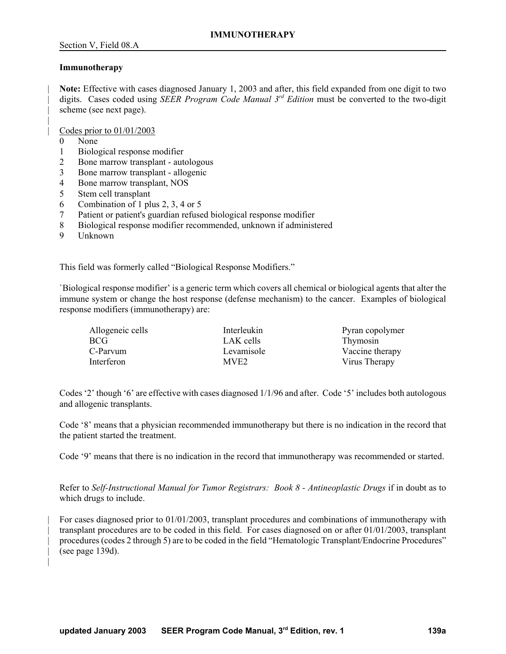### **Immunotherapy**

| **Note:** Effective with cases diagnosed January 1, 2003 and after, this field expanded from one digit to two digits. Cases coded using *SEER Program Code Manual 3<sup>rd</sup> Edition* must be converted to the two-digit scheme (see next page).

| Codes prior to 01/01/2003

0 None

|

|

- 1 Biological response modifier
- 2 Bone marrow transplant autologous
- 3 Bone marrow transplant allogenic
- 4 Bone marrow transplant, NOS
- 5 Stem cell transplant
- 6 Combination of 1 plus 2, 3, 4 or 5
- 7 Patient or patient's guardian refused biological response modifier
- 8 Biological response modifier recommended, unknown if administered
- 9 Unknown

This field was formerly called "Biological Response Modifiers."

`Biological response modifier' is a generic term which covers all chemical or biological agents that alter the immune system or change the host response (defense mechanism) to the cancer. Examples of biological response modifiers (immunotherapy) are:

| Allogeneic cells | Interleukin      | Pyran copolymer |
|------------------|------------------|-----------------|
| BCG              | LAK cells        | Thymosin        |
| C-Parvum         | Levamisole       | Vaccine therapy |
| Interferon       | MVE <sub>2</sub> | Virus Therapy   |

Codes '2' though '6' are effective with cases diagnosed 1/1/96 and after. Code '5' includes both autologous and allogenic transplants.

Code '8' means that a physician recommended immunotherapy but there is no indication in the record that the patient started the treatment.

Code '9' means that there is no indication in the record that immunotherapy was recommended or started.

Refer to *Self-Instructional Manual for Tumor Registrars: Book 8 - Antineoplastic Drugs* if in doubt as to which drugs to include.

| For cases diagnosed prior to 01/01/2003, transplant procedures and combinations of immunotherapy with | transplant procedures are to be coded in this field. For cases diagnosed on or after 01/01/2003, transplant procedures (codes 2 through 5) are to be coded in the field "Hematologic Transplant/Endocrine Procedures"  $($ see page 139d $).$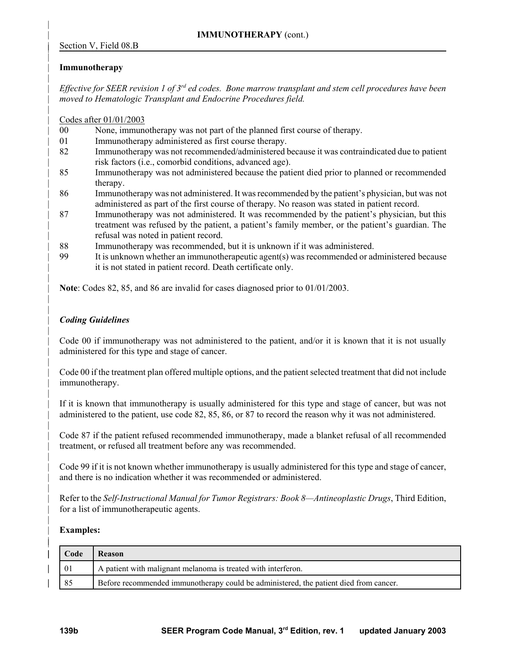# | **Immunotherapy**

|

|

|

|

|

|

| |

|

|

|

|

|

|

|

| | *Effective for SEER revision 1 of 3<sup>rd</sup> ed codes. Bone marrow transplant and stem cell procedures have been* | *moved to Hematologic Transplant and Endocrine Procedures field.* 

| Codes after 01/01/2003

|                | None, immunotherapy was not part of the planned first course of therapy. |
|----------------|--------------------------------------------------------------------------|
| 0 <sup>0</sup> |                                                                          |
|                |                                                                          |
|                |                                                                          |

- 01 Immunotherapy administered as first course therapy.
- | 82 Immunotherapy was not recommended/administered because it was contraindicated due to patient risk factors (i.e., comorbid conditions, advanced age).
- | 85 Immunotherapy was not administered because the patient died prior to planned or recommended therapy.
- | 86 Immunotherapy was not administered. It was recommended by the patient's physician, but was not administered as part of the first course of therapy. No reason was stated in patient record.
- | 87 Immunotherapy was not administered. It was recommended by the patient's physician, but this | treatment was refused by the patient, a patient's family member, or the patient's guardian. The | refusal was noted in patient record.
- | 88 Immunotherapy was recommended, but it is unknown if it was administered.
- | 99 It is unknown whether an immunotherapeutic agent(s) was recommended or administered because it is not stated in patient record. Death certificate only.

| **Note**: Codes 82, 85, and 86 are invalid for cases diagnosed prior to 01/01/2003.

## | *Coding Guidelines*

Code 00 if immunotherapy was not administered to the patient, and/or it is known that it is not usually administered for this type and stage of cancer.

| Code 00 if the treatment plan offered multiple options, and the patient selected treatment that did not include immunotherapy.

If it is known that immunotherapy is usually administered for this type and stage of cancer, but was not | administered to the patient, use code 82, 85, 86, or 87 to record the reason why it was not administered.

| Code 87 if the patient refused recommended immunotherapy, made a blanket refusal of all recommended treatment, or refused all treatment before any was recommended.

| Code 99 if it is not known whether immunotherapy is usually administered for this type and stage of cancer, and there is no indication whether it was recommended or administered.

| Refer to the *Self-Instructional Manual for Tumor Registrars: Book 8—Antineoplastic Drugs*, Third Edition, for a list of immunotherapeutic agents.

### | **Examples:**

| Code<br><b>Reason</b>                                               |    |                                                                                       |
|---------------------------------------------------------------------|----|---------------------------------------------------------------------------------------|
| A patient with malignant melanoma is treated with interferon.<br>01 |    |                                                                                       |
|                                                                     | 85 | Before recommended immunotherapy could be administered, the patient died from cancer. |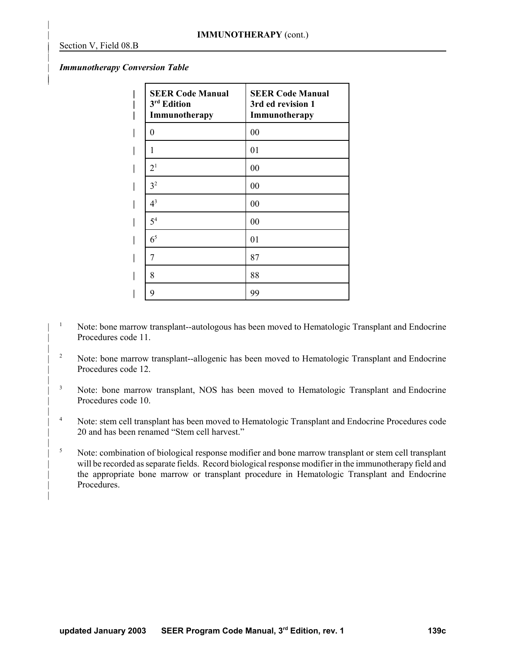|

|

|

| |

|

|

|

|

|

#### | *Immunotherapy Conversion Table*

| <b>SEER Code Manual</b><br>3 <sup>rd</sup> Edition<br>Immunotherapy | <b>SEER Code Manual</b><br>3rd ed revision 1<br>Immunotherapy |
|---------------------------------------------------------------------|---------------------------------------------------------------|
| 0                                                                   | 00                                                            |
| 1                                                                   | 01                                                            |
| 2 <sup>1</sup>                                                      | 00                                                            |
| 3 <sup>2</sup>                                                      | 00                                                            |
| $4^3$                                                               | 00                                                            |
| 5 <sup>4</sup>                                                      | 00                                                            |
| 6 <sup>5</sup>                                                      | 01                                                            |
| 7                                                                   | 87                                                            |
| 8                                                                   | 88                                                            |
| 9                                                                   | 99                                                            |

- <sup>1</sup> Note: bone marrow transplant--autologous has been moved to Hematologic Transplant and Endocrine Procedures code 11.
- <sup>2</sup> Note: bone marrow transplant--allogenic has been moved to Hematologic Transplant and Endocrine Procedures code 12.
- <sup>3</sup> Note: bone marrow transplant, NOS has been moved to Hematologic Transplant and Endocrine Procedures code 10.
- <sup>4</sup> Note: stem cell transplant has been moved to Hematologic Transplant and Endocrine Procedures code 20 and has been renamed "Stem cell harvest."
- <sup>5</sup> Note: combination of biological response modifier and bone marrow transplant or stem cell transplant will be recorded as separate fields. Record biological response modifier in the immunotherapy field and the appropriate bone marrow or transplant procedure in Hematologic Transplant and Endocrine Procedures.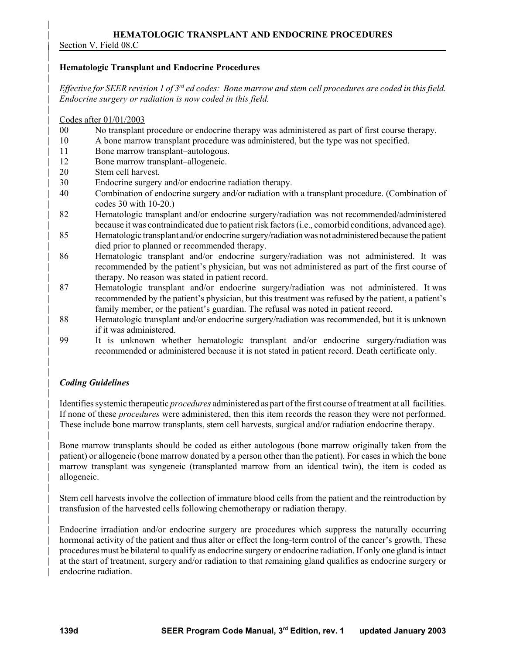# | **HEMATOLOGIC TRANSPLANT AND ENDOCRINE PROCEDURES**

Section V, Field 08.C

|

|

|

|

|

| |

|

|

|

|

### | **Hematologic Transplant and Endocrine Procedures**

*Effective for SEER revision 1 of 3<sup>rd</sup> ed codes: Bone marrow and stem cell procedures are coded in this field.* | *Endocrine surgery or radiation is now coded in this field.* 

### | Codes after 01/01/2003

- | 00 No transplant procedure or endocrine therapy was administered as part of first course therapy.
- | 10 A bone marrow transplant procedure was administered, but the type was not specified.
- | 11 Bone marrow transplant–autologous.
- 12 Bone marrow transplant–allogeneic.
- | 20 Stem cell harvest.
- | 30 Endocrine surgery and/or endocrine radiation therapy.
- | 40 Combination of endocrine surgery and/or radiation with a transplant procedure. (Combination of | codes 30 with 10-20.)
- | 82 Hematologic transplant and/or endocrine surgery/radiation was not recommended/administered | because it was contraindicated due to patient risk factors (i.e., comorbid conditions, advanced age).
- | 85 Hematologic transplant and/or endocrine surgery/radiation was not administered because the patient died prior to planned or recommended therapy.
- | 86 Hematologic transplant and/or endocrine surgery/radiation was not administered. It was recommended by the patient's physician, but was not administered as part of the first course of therapy. No reason was stated in patient record.
- | 87 Hematologic transplant and/or endocrine surgery/radiation was not administered. It was | recommended by the patient's physician, but this treatment was refused by the patient, a patient's family member, or the patient's guardian. The refusal was noted in patient record.
- | 88 Hematologic transplant and/or endocrine surgery/radiation was recommended, but it is unknown if it was administered.
- | 99 It is unknown whether hematologic transplant and/or endocrine surgery/radiation was | recommended or administered because it is not stated in patient record. Death certificate only.

# | *Coding Guidelines*

| Identifies systemic therapeutic *procedures* administered as part of the first course of treatment at all facilities. | If none of these *procedures* were administered, then this item records the reason they were not performed. | These include bone marrow transplants, stem cell harvests, surgical and/or radiation endocrine therapy.

Bone marrow transplants should be coded as either autologous (bone marrow originally taken from the | patient) or allogeneic (bone marrow donated by a person other than the patient). For cases in which the bone | marrow transplant was syngeneic (transplanted marrow from an identical twin), the item is coded as allogeneic.

| Stem cell harvests involve the collection of immature blood cells from the patient and the reintroduction by transfusion of the harvested cells following chemotherapy or radiation therapy.

| Endocrine irradiation and/or endocrine surgery are procedures which suppress the naturally occurring hormonal activity of the patient and thus alter or effect the long-term control of the cancer's growth. These | procedures must be bilateral to qualify as endocrine surgery or endocrine radiation. If only one gland is intact at the start of treatment, surgery and/or radiation to that remaining gland qualifies as endocrine surgery or endocrine radiation.